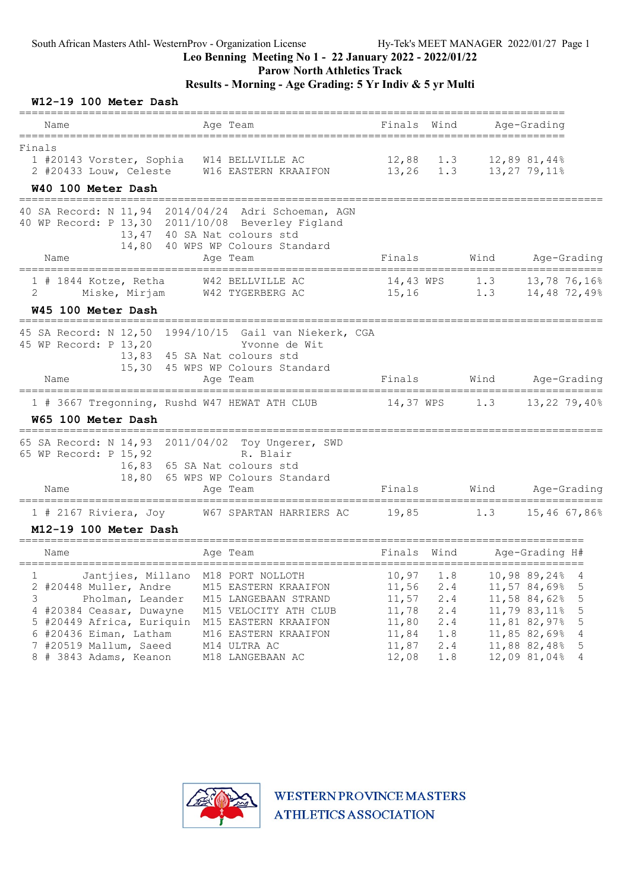### Parow North Athletics Track

### Results - Morning - Age Grading: 5 Yr Indiv & 5 yr Multi

#### W12-19 100 Meter Dash

| Name                                                                                                                                                           | Age Team                                                                                                                                  | Finals<br>Wind                                                                                      | Age-Grading                                                                                                                             |
|----------------------------------------------------------------------------------------------------------------------------------------------------------------|-------------------------------------------------------------------------------------------------------------------------------------------|-----------------------------------------------------------------------------------------------------|-----------------------------------------------------------------------------------------------------------------------------------------|
| =============<br>Finals<br>1 #20143 Vorster, Sophia<br>2 #20433 Louw, Celeste<br>W40 100 Meter Dash                                                            | W14 BELLVILLE AC<br>W16 EASTERN KRAAIFON                                                                                                  | 12,88<br>1.3<br>13,26                                                                               | --------------------<br>1.3<br>$12,89$ 81,44%<br>13,27 79,11%                                                                           |
| 40 SA Record: N 11,94<br>40 WP Record: P 13,30 2011/10/08 Beverley Figland<br>14,80<br>Name                                                                    | 2014/04/24<br>Adri Schoeman, AGN<br>13,47 40 SA Nat colours std<br>40 WPS WP Colours Standard<br>Age Team                                 | Finals                                                                                              | Wind<br>Age-Grading                                                                                                                     |
| $1$ # 1844 Kotze, Retha<br>2<br>Miske, Mirjam<br><b>W45 100 Meter Dash</b>                                                                                     | W42 BELLVILLE AC<br>W42 TYGERBERG AC                                                                                                      | 14,43 WPS<br>15,16                                                                                  | 13,78 76,16%<br>1.3<br>1.3<br>14,48 72,49%                                                                                              |
| 45 SA Record: N 12,50 1994/10/15 Gail van Niekerk, CGA<br>45 WP Record: P 13,20<br>15,30<br>Name                                                               | Yvonne de Wit<br>13,83 45 SA Nat colours std<br>45 WPS WP Colours Standard<br>Age Team                                                    | Finals                                                                                              | Wind<br>Age-Grading                                                                                                                     |
| 1 # 3667 Tregonning, Rushd W47 HEWAT ATH CLUB<br>W65 100 Meter Dash                                                                                            |                                                                                                                                           | 14,37 WPS                                                                                           | 1.3<br>13,22 79,40%                                                                                                                     |
| 65 SA Record: N 14,93  2011/04/02  Toy Ungerer, SWD<br>65 WP Record: P 15,92<br>16,83<br>18,80<br>Name<br>=====                                                | R. Blair<br>65 SA Nat colours std<br>65 WPS WP Colours Standard<br>Age Team                                                               | Finals                                                                                              | Wind<br>Age-Grading<br>===============                                                                                                  |
| $1$ # 2167 Riviera, Joy<br>M12-19 100 Meter Dash                                                                                                               | W67 SPARTAN HARRIERS AC                                                                                                                   | 19,85                                                                                               | 15,46 67,86%<br>1.3                                                                                                                     |
| Name                                                                                                                                                           | Age Team                                                                                                                                  | Finals<br>Wind                                                                                      | Age-Grading H#                                                                                                                          |
| Jantjies, Millano<br>ı<br>2 #20448 Muller, Andre<br>3<br>Pholman, Leander<br>4 #20384 Ceasar, Duwayne<br>5 #20449 Africa, Euriquin<br>$6$ #20436 Eiman, Latham | M18 PORT NOLLOTH<br>M15 EASTERN KRAAIFON<br>M15 LANGEBAAN STRAND<br>M15 VELOCITY ATH CLUB<br>M15 EASTERN KRAAIFON<br>M16 EASTERN KRAAIFON | 10,97<br>1.8<br>11,56<br>2.4<br>11,57<br>2.4<br>11,78<br>2.4<br>11,80<br>2.4<br>1.8<br>11,84<br>2.4 | 10,98 89,24%<br>4<br>11,57 84,69%<br>5<br>11,58 84,62%<br>5<br>5<br>11,79 83,11%<br>11,81 82,97%<br>5<br>11,85 82,69%<br>$\overline{4}$ |
| 7 #20519 Mallum, Saeed<br>8 # 3843 Adams, Keanon                                                                                                               | M14 ULTRA AC<br>M18 LANGEBAAN AC                                                                                                          | 11,87<br>1.8<br>12,08                                                                               | 11,88 82,48%<br>5<br>12,09 81,04%<br>4                                                                                                  |

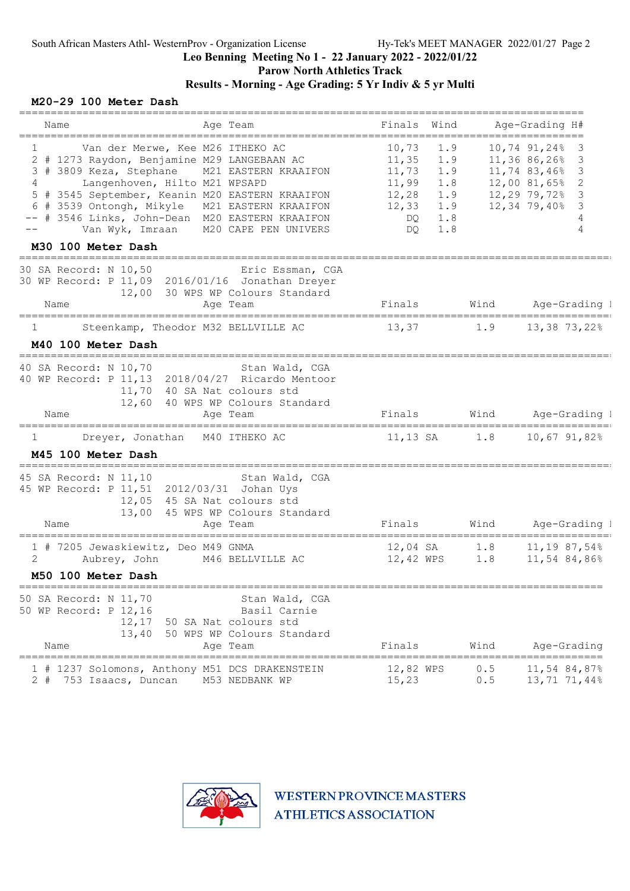#### Leo Benning Meeting No 1 - 22 January 2022 - 2022/01/22 Parow North Athletics Track

### Results - Morning - Age Grading: 5 Yr Indiv & 5 yr Multi

### M20-29 100 Meter Dash

| Name<br>Age Team                                                                                                                                                                                                                                                                                                                                                                                         | Finals<br>Wind                                                                                                           |            | Age-Grading H#                                                                                                                         |
|----------------------------------------------------------------------------------------------------------------------------------------------------------------------------------------------------------------------------------------------------------------------------------------------------------------------------------------------------------------------------------------------------------|--------------------------------------------------------------------------------------------------------------------------|------------|----------------------------------------------------------------------------------------------------------------------------------------|
| Van der Merwe, Kee M26 ITHEKO AC<br>1<br>2 # 1273 Raydon, Benjamine M29 LANGEBAAN AC<br>3 # 3809 Keza, Stephane M21 EASTERN KRAAIFON<br>Langenhoven, Hilto M21 WPSAPD<br>4<br># 3545 September, Keanin M20 EASTERN KRAAIFON<br>5<br>6 # 3539 Ontongh, Mikyle<br>M21 EASTERN KRAAIFON<br>-- # 3546 Links, John-Dean M20 EASTERN KRAAIFON<br>Van Wyk, Imraan<br>M20 CAPE PEN UNIVERS<br>M30 100 Meter Dash | 10,73<br>1.9<br>1.9<br>11,35<br>11,73<br>1.9<br>11,99<br>1.8<br>12,28<br>1.9<br>12,33<br>1.9<br>1.8<br>DQ.<br>1.8<br>DO. |            | 10,74 91,24%<br>3<br>11,36 86,26%<br>3<br>11,74 83,46%<br>3<br>12,00 81,65%<br>2<br>$12,29$ 79,72%<br>3<br>12,34 79,40%<br>3<br>4<br>4 |
| ======================<br>30 SA Record: N 10,50<br>Eric Essman, CGA<br>30 WP Record: P 11,09 2016/01/16 Jonathan Dreyer<br>12,00 30 WPS WP Colours Standard<br>Name<br>Age Team                                                                                                                                                                                                                          |                                                                                                                          |            | Finals Wind Age-Grading I                                                                                                              |
| Steenkamp, Theodor M32 BELLVILLE AC<br>ı<br>M40 100 Meter Dash                                                                                                                                                                                                                                                                                                                                           | 13,37                                                                                                                    | 1.9        | 13,38 73,22%                                                                                                                           |
| _______________________<br>40 SA Record: N 10,70<br>Stan Wald, CGA<br>2018/04/27 Ricardo Mentoor<br>40 WP Record: P 11,13<br>11,70<br>40 SA Nat colours std<br>12,60 40 WPS WP Colours Standard<br>Name<br>Age Team                                                                                                                                                                                      | Finals                                                                                                                   | Wind       | Age-Grading 1                                                                                                                          |
| Dreyer, Jonathan M40 ITHEKO AC<br>1<br>M45 100 Meter Dash                                                                                                                                                                                                                                                                                                                                                | 11,13 SA 1.8                                                                                                             |            | 10,67 91,82%                                                                                                                           |
| 45 SA Record: N 11,10<br>Stan Wald, CGA<br>45 WP Record: P 11, 51 2012/03/31 Johan Uys<br>12,05<br>45 SA Nat colours std<br>13,00<br>45 WPS WP Colours Standard<br>Name<br>Age Team<br>______________                                                                                                                                                                                                    | Finals                                                                                                                   | Wind       | Age-Grading 1                                                                                                                          |
| 1 # 7205 Jewaskiewitz, Deo M49 GNMA<br>2<br>Aubrey, John<br>M46 BELLVILLE AC<br>M50 100 Meter Dash                                                                                                                                                                                                                                                                                                       | 12,04 SA<br>12,42 WPS                                                                                                    | 1.8<br>1.8 | $11, 19$ 87,54%<br>11,54 84,86%                                                                                                        |
| 50 SA Record: N 11,70<br>Stan Wald, CGA<br>50 WP Record: P 12,16<br>Basil Carnie<br>12,17<br>50 SA Nat colours std<br>13,40<br>50 WPS WP Colours Standard<br>Name<br>Age Team                                                                                                                                                                                                                            | Finals                                                                                                                   | Wind       | Age-Grading                                                                                                                            |
| =====<br>1237 Solomons, Anthony M51 DCS DRAKENSTEIN<br>M53 NEDBANK WP<br>$2 +$<br>753 Isaacs, Duncan                                                                                                                                                                                                                                                                                                     | 12,82 WPS<br>15,23                                                                                                       | 0.5<br>0.5 | 11,54 84,87%<br>13,71 71,44%                                                                                                           |

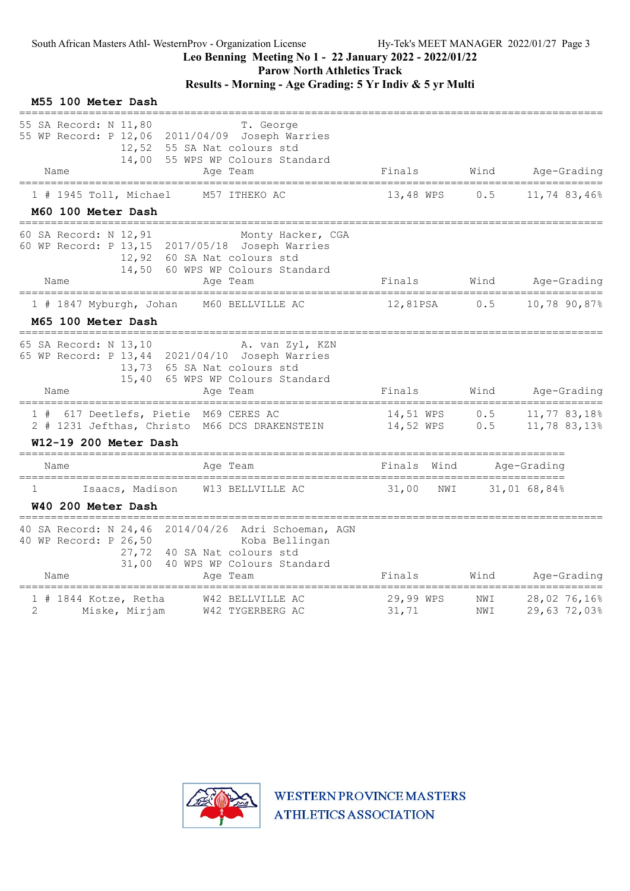Parow North Athletics Track

# Results - Morning - Age Grading: 5 Yr Indiv & 5 yr Multi

| M55 100 Meter Dash                                                                     |                                                                                                  |                        |            |                              |
|----------------------------------------------------------------------------------------|--------------------------------------------------------------------------------------------------|------------------------|------------|------------------------------|
| 55 SA Record: N 11,80<br>55 WP Record: P 12,06 2011/04/09 Joseph Warries<br>Name       | T. George<br>12,52 55 SA Nat colours std<br>14,00 55 WPS WP Colours Standard<br>Age Team         | Finals                 |            | Wind Age-Grading             |
| 1 # 1945 Toll, Michael                                                                 | M57 ITHEKO AC                                                                                    | 13,48 WPS              | 0.5        | 11,74 83,46%                 |
| M60 100 Meter Dash                                                                     |                                                                                                  |                        |            |                              |
| 60 SA Record: N 12,91<br>60 WP Record: P 13,15 2017/05/18 Joseph Warries<br>Name       | Monty Hacker, CGA<br>12,92 60 SA Nat colours std<br>14,50 60 WPS WP Colours Standard<br>Age Team | Finals                 | Wind       | Age-Grading                  |
| 1 # 1847 Myburgh, Johan                                                                | M60 BELLVILLE AC                                                                                 | 12,81PSA               | 0.5        | 10,78 90,87%                 |
| M65 100 Meter Dash                                                                     |                                                                                                  |                        |            |                              |
| 65 SA Record: N 13,10<br>65 WP Record: P 13,44 2021/04/10 Joseph Warries<br>15,40      | A. van Zyl, KZN<br>13,73 65 SA Nat colours std<br>65 WPS WP Colours Standard                     |                        |            |                              |
| Name                                                                                   | Age Team                                                                                         | Finals                 | Wind       | Age-Grading                  |
| 1 # 617 Deetlefs, Pietie M69 CERES AC<br>2 # 1231 Jefthas, Christo M66 DCS DRAKENSTEIN |                                                                                                  | 14,51 WPS<br>14,52 WPS | 0.5<br>0.5 | 11,77 83,18%<br>11,78 83,13% |
| W12-19 200 Meter Dash                                                                  |                                                                                                  |                        |            |                              |
| Name                                                                                   | Age Team                                                                                         | Wind<br>Finals         |            | Age-Grading                  |
| Isaacs, Madison<br>1<br>W40 200 Meter Dash                                             | W13 BELLVILLE AC                                                                                 | 31,00<br>NWI           |            | 31,01 68,84%                 |
| 40 SA Record: N 24,46 2014/04/26 Adri Schoeman, AGN<br>40 WP Record: P 26,50<br>Name   | Koba Bellingan<br>27,72 40 SA Nat colours std<br>31,00 40 WPS WP Colours Standard<br>Age Team    | Finals                 | Wind       | Age-Grading                  |
| $1$ # 1844 Kotze, Retha<br>$\overline{2}$<br>Miske, Mirjam                             | W42 BELLVILLE AC<br>W42 TYGERBERG AC                                                             | 29,99 WPS<br>31,71     | NWI<br>NWI | 28,02 76,16%<br>29,63 72,03% |

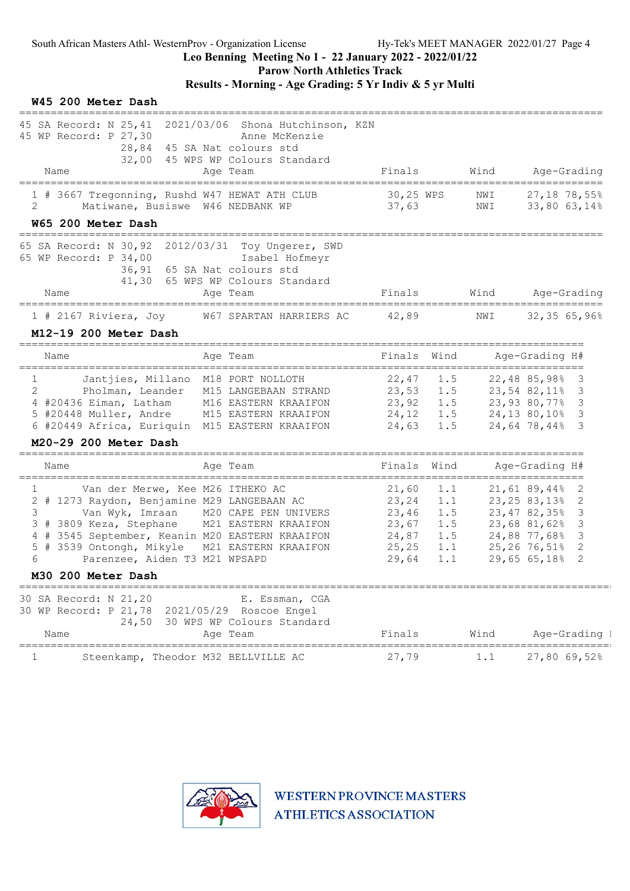Parow North Athletics Track

Results - Morning - Age Grading: 5 Yr Indiv & 5 yr Multi

#### W45 200 Meter Dash

| 45 SA Record: N 25,41<br>2021/03/06 Shona Hutchinson, KZN<br>45 WP Record: P 27,30<br>Anne McKenzie<br>28,84<br>45 SA Nat colours std |           |      |      |                                    |
|---------------------------------------------------------------------------------------------------------------------------------------|-----------|------|------|------------------------------------|
| 32,00 45 WPS WP Colours Standard                                                                                                      |           |      |      |                                    |
| Name<br>Age Team                                                                                                                      | Finals    |      | Wind | Age-Grading                        |
| 1 # 3667 Tregonning, Rushd W47 HEWAT ATH CLUB                                                                                         | 30,25 WPS |      | NWI  | 27,18 78,55%                       |
| Matiwane, Busiswe W46 NEDBANK WP<br>2                                                                                                 | 37,63     |      | NWI  | 33,80 63,14%                       |
| W65 200 Meter Dash<br>---------------------                                                                                           |           |      |      |                                    |
| 65 SA Record: N 30,92 2012/03/31 Toy Ungerer, SWD                                                                                     |           |      |      |                                    |
| 65 WP Record: P 34,00<br>Isabel Hofmeyr                                                                                               |           |      |      |                                    |
| 36,91<br>65 SA Nat colours std<br>41,30                                                                                               |           |      |      |                                    |
| 65 WPS WP Colours Standard<br>Name<br>Age Team                                                                                        | Finals    |      | Wind | Age-Grading                        |
|                                                                                                                                       |           |      |      |                                    |
| W67 SPARTAN HARRIERS AC<br>$1$ # 2167 Riviera, Joy                                                                                    | 42,89     |      | NWI  | 32,3565,96%                        |
| M12-19 200 Meter Dash<br>=============================                                                                                |           |      |      |                                    |
| Age Team<br>Name                                                                                                                      | Finals    | Wind |      | Age-Grading H#                     |
| Jantjies, Millano M18 PORT NOLLOTH<br>$\mathbf{1}$                                                                                    | 22,47     | 1.5  |      | 22,48 85,98%<br>3                  |
| 2<br>Pholman, Leander<br>M15 LANGEBAAN STRAND                                                                                         | 23,53     | 1.5  |      | 23,54 82,11%<br>3                  |
| 4 #20436 Eiman, Latham<br>M16 EASTERN KRAAIFON                                                                                        | 23,92     | 1.5  |      | 23,93 80,77%<br>3                  |
| 5 #20448 Muller, Andre<br>M15 EASTERN KRAAIFON                                                                                        | 24,12     | 1.5  |      | 3<br>24,13 80,10%                  |
| 6 #20449 Africa, Euriquin M15 EASTERN KRAAIFON                                                                                        | 24,63     | 1.5  |      | 3<br>24,64 78,44%                  |
| M20-29 200 Meter Dash                                                                                                                 |           |      |      |                                    |
| Age Team<br>Name<br>----------                                                                                                        | Finals    | Wind |      | Age-Grading H#<br>============     |
| Van der Merwe, Kee M26 ITHEKO AC<br>1                                                                                                 | 21,60     | 1.1  |      | 21,61 89,44%<br>2                  |
| 2 # 1273 Raydon, Benjamine M29 LANGEBAAN AC                                                                                           | 23,24     | 1.1  |      | $23, 25, 83, 13$ <sup>8</sup><br>2 |
| M20 CAPE PEN UNIVERS<br>3<br>Van Wyk, Imraan                                                                                          | 23,46     | 1.5  |      | 23,4782,35%<br>3                   |
| 3 # 3809 Keza, Stephane<br>M21 EASTERN KRAAIFON                                                                                       | 23,67     | 1.5  |      | 23,68 81,62%<br>3                  |
| 4 # 3545 September, Keanin M20 EASTERN KRAAIFON                                                                                       | 24,87     | 1.5  |      | 24,88 77,68%<br>3                  |
| # 3539 Ontongh, Mikyle<br>M21 EASTERN KRAAIFON<br>5                                                                                   | 25, 25    | 1.1  |      | $25, 26, 76, 51\%$<br>2            |
| 6<br>Parenzee, Aiden T3 M21 WPSAPD                                                                                                    | 29,64     | 1.1  |      | 2<br>29,65 65,18%                  |
| M30 200 Meter Dash                                                                                                                    |           |      |      |                                    |
| 30 SA Record: N 21,20<br>E. Essman, CGA                                                                                               |           |      |      |                                    |
| 30 WP Record: P 21,78 2021/05/29 Roscoe Engel                                                                                         |           |      |      |                                    |
| 24,50<br>30 WPS WP Colours Standard<br>Name<br>Age Team                                                                               | Finals    |      | Wind | Age-Grading I                      |
|                                                                                                                                       |           |      |      |                                    |
| $\mathbf{1}$<br>Steenkamp, Theodor M32 BELLVILLE AC                                                                                   | 27,79     |      | 1.1  | 27,80 69,52%                       |

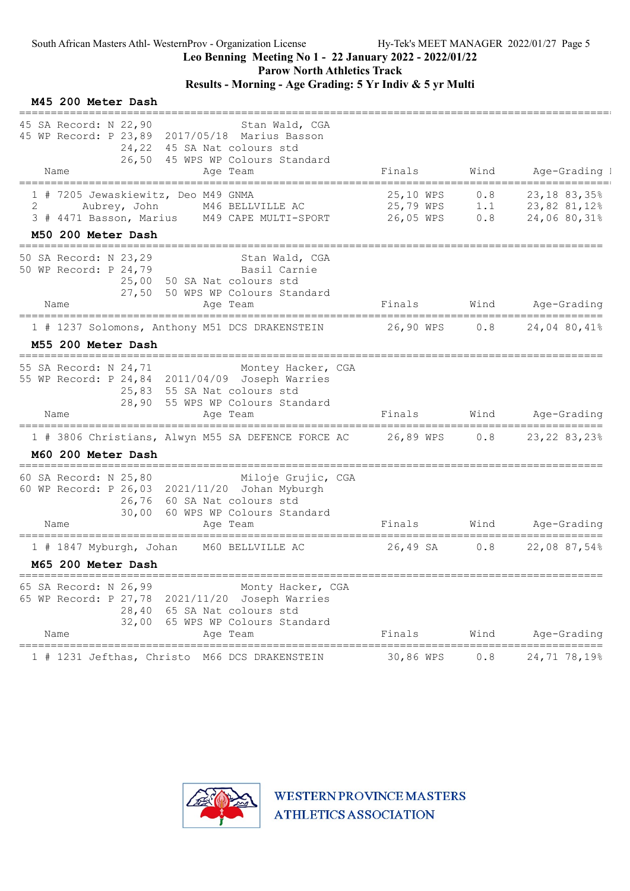Parow North Athletics Track

# Results - Morning - Age Grading: 5 Yr Indiv & 5 yr Multi

#### M45 200 Meter Dash

| 45 SA Record: N 22,90<br>Stan Wald, CGA<br>45 WP Record: P 23,89 2017/05/18 Marius Basson<br>24,22<br>45 SA Nat colours std<br>26,50 45 WPS WP Colours Standard                                                               |                                     |                   |                                                |
|-------------------------------------------------------------------------------------------------------------------------------------------------------------------------------------------------------------------------------|-------------------------------------|-------------------|------------------------------------------------|
| Name<br>Age Team                                                                                                                                                                                                              | Finals                              | Wind              | Age-Grading I                                  |
| 1 # 7205 Jewaskiewitz, Deo M49 GNMA<br>2<br>Aubrey, John<br>M46 BELLVILLE AC<br>3 # 4471 Basson, Marius M49 CAPE MULTI-SPORT<br>M50 200 Meter Dash                                                                            | 25,10 WPS<br>25,79 WPS<br>26,05 WPS | 0.8<br>1.1<br>0.8 | 23, 18 83, 35%<br>23,82 81,12%<br>24,06 80,31% |
| 50 SA Record: N 23,29<br>Stan Wald, CGA<br>50 WP Record: P 24,79<br>Basil Carnie<br>50 SA Nat colours std<br>25,00<br>27,50<br>50 WPS WP Colours Standard                                                                     |                                     |                   |                                                |
| Name<br>Age Team                                                                                                                                                                                                              | Finals                              |                   | Wind Age-Grading<br>==================         |
| 1 # 1237 Solomons, Anthony M51 DCS DRAKENSTEIN<br>M55 200 Meter Dash                                                                                                                                                          | 26,90 WPS                           | 0.8               | 24,04 80,41%                                   |
| ==============================<br>55 SA Record: N 24,71<br>Montey Hacker, CGA<br>55 WP Record: P 24,84 2011/04/09 Joseph Warries<br>25,83<br>55 SA Nat colours std<br>28,90<br>55 WPS WP Colours Standard<br>Name<br>Age Team | Finals                              | Wind              | Age-Grading                                    |
| ===============<br>=======================<br>1 # 3806 Christians, Alwyn M55 SA DEFENCE FORCE AC                                                                                                                              | ==========<br>26,89 WPS             | 0.8               | ====================<br>23, 22 83, 23%         |
| M60 200 Meter Dash                                                                                                                                                                                                            |                                     |                   |                                                |
| 60 SA Record: N 25,80<br>Miloje Grujic, CGA<br>60 WP Record: P 26,03 2021/11/20 Johan Myburgh<br>26,76 60 SA Nat colours std<br>30,00<br>60 WPS WP Colours Standard<br>Name<br>Age Team                                       | Finals                              | Wind              | Age-Grading                                    |
| 1 # 1847 Myburgh, Johan<br>M60 BELLVILLE AC<br>M65 200 Meter Dash                                                                                                                                                             | 26,49 SA                            | 0.8               | 22,08 87,54%                                   |
| 65 SA Record: N 26,99<br>Monty Hacker, CGA<br>65 WP Record: P 27,78 2021/11/20 Joseph Warries<br>28,40 65 SA Nat colours std<br>32,00<br>65 WPS WP Colours Standard<br>Name<br>Aqe Team                                       | Finals                              | Wind              | Age-Grading                                    |
|                                                                                                                                                                                                                               |                                     |                   |                                                |
| 1 # 1231 Jefthas, Christo M66 DCS DRAKENSTEIN                                                                                                                                                                                 | 30,86 WPS                           | 0.8               | 24,71 78,19%                                   |

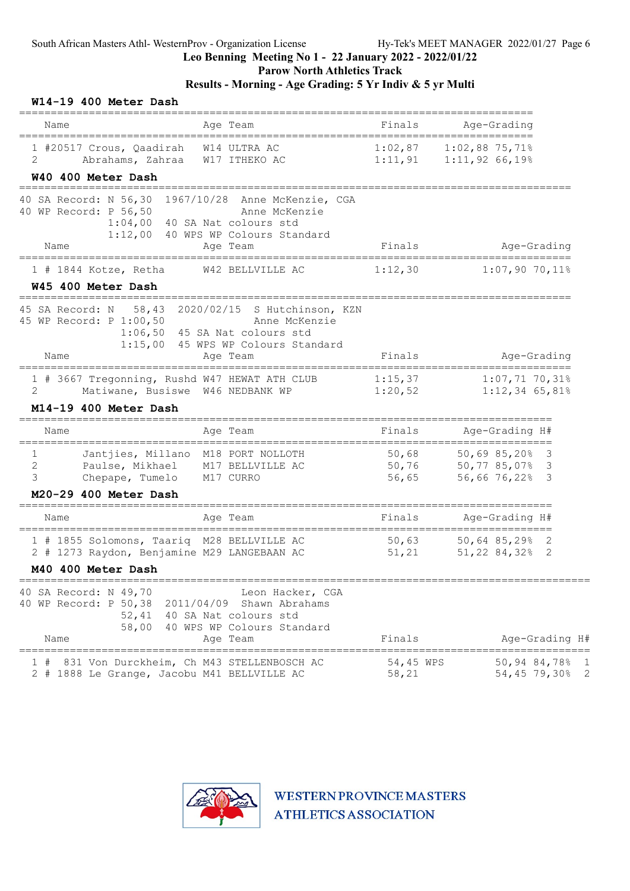# Parow North Athletics Track

| W14-19 400 Meter Dash                                                                     |                                                                                                    |                    |                                                                |
|-------------------------------------------------------------------------------------------|----------------------------------------------------------------------------------------------------|--------------------|----------------------------------------------------------------|
| Name                                                                                      | Age Team                                                                                           | Finals             | Age-Grading                                                    |
| 1 #20517 Crous, Qaadirah W14 ULTRA AC<br>2<br>Abrahams, Zahraa<br>W40 400 Meter Dash      | W17 ITHEKO AC                                                                                      |                    | $1:02,87$ $1:02,88$ 75,71%<br>$1:11,91$ $1:11,92$ 66,19%       |
| 40 SA Record: N 56,30 1967/10/28 Anne McKenzie, CGA<br>40 WP Record: P 56,50              | Anne McKenzie<br>1:04,00 40 SA Nat colours std<br>1:12,00 40 WPS WP Colours Standard               |                    |                                                                |
| Name<br>---------------------                                                             | Age Team<br>===================                                                                    | Finals             | Age-Grading                                                    |
| $1$ # 1844 Kotze, Retha<br>W45 400 Meter Dash                                             | W42 BELLVILLE AC                                                                                   | 1:12,30            | $1:07,90$ 70,11%                                               |
| 45 SA Record: N 58,43 2020/02/15 S Hutchinson, KZN<br>45 WP Record: P 1:00,50<br>Name     | Anne McKenzie<br>$1:06,50$ 45 SA Nat colours std<br>1:15,00 45 WPS WP Colours Standard<br>Age Team | Finals             | Age-Grading                                                    |
| 1 # 3667 Tregonning, Rushd W47 HEWAT ATH CLUB<br>2<br>M14-19 400 Meter Dash               | Matiwane, Busiswe W46 NEDBANK WP                                                                   | 1:15,37<br>1:20,52 | $1:07,71$ 70,31%<br>$1:12,34$ 65,81%                           |
| Name                                                                                      | Age Team                                                                                           | Finals             | Age-Grading H#                                                 |
| $\mathbf{1}$<br>2<br>Paulse, Mikhael<br>3<br>Chepape, Tumelo<br>M20-29 400 Meter Dash     | Jantjies, Millano M18 PORT NOLLOTH<br>M17 BELLVILLE AC<br>M17 CURRO                                | 56,65              | 50,68 50,69 85,20% 3<br>50,76 50,77 85,07% 3<br>56,66 76,22% 3 |
| Name                                                                                      | Age Team                                                                                           | Finals             | Age-Grading H#                                                 |
| 1 # 1855 Solomons, Taariq M28 BELLVILLE AC<br>2 # 1273 Raydon, Benjamine M29 LANGEBAAN AC |                                                                                                    | 50,63              | $50,64$ 85,29% 2<br>$51, 21$ $51, 22, 84, 32, 2$               |
| M40 400 Meter Dash<br>===========================                                         |                                                                                                    |                    |                                                                |
| 40 SA Record: N 49,70<br>40 WP Record: P 50,38 2011/04/09 Shawn Abrahams<br>Name          | Leon Hacker, CGA<br>52,41 40 SA Nat colours std<br>58,00 40 WPS WP Colours Standard<br>Age Team    | Finals             | Age-Grading H#                                                 |
| 1#<br>2 # 1888 Le Grange, Jacobu M41 BELLVILLE AC                                         | 831 Von Durckheim, Ch M43 STELLENBOSCH AC                                                          | 54,45 WPS<br>58,21 | 50,94 84,78% 1<br>54,45 79,30% 2                               |

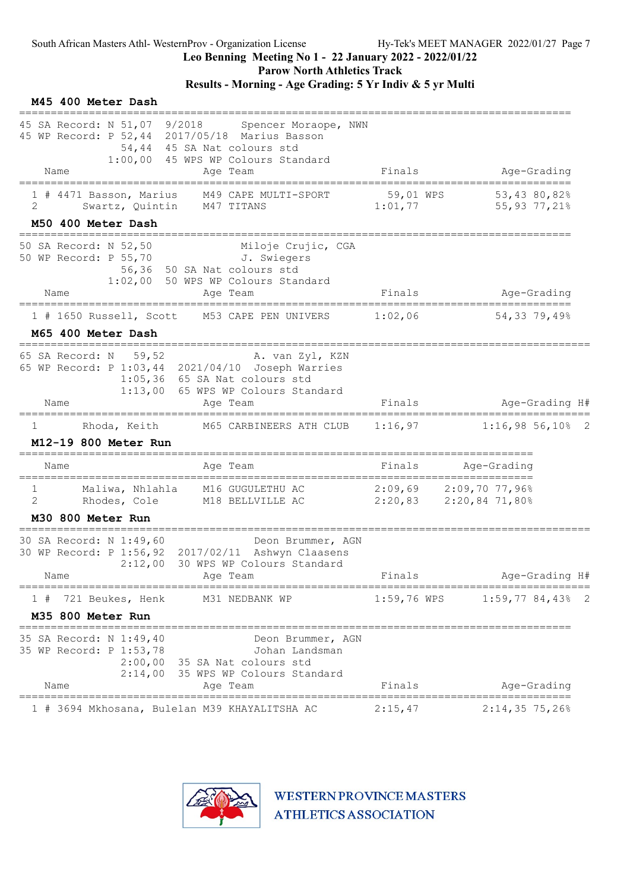Parow North Athletics Track

Results - Morning - Age Grading: 5 Yr Indiv & 5 yr Multi

| M45 400 Meter Dash                                                                                           |                                                                                                                                                           |                      |                                                      |  |
|--------------------------------------------------------------------------------------------------------------|-----------------------------------------------------------------------------------------------------------------------------------------------------------|----------------------|------------------------------------------------------|--|
| 45 SA Record: N 51,07 9/2018<br>Name                                                                         | Spencer Moraope, NWN<br>45 WP Record: P 52,44 2017/05/18 Marius Basson<br>54,44 45 SA Nat colours std<br>1:00,00 45 WPS WP Colours Standard<br>Age Team   | Finals               | Age-Grading                                          |  |
| 1 # 4471 Basson, Marius<br>2<br>M50 400 Meter Dash                                                           | M49 CAPE MULTI-SPORT<br>Swartz, Quintin M47 TITANS                                                                                                        | 59,01 WPS<br>1:01,77 | 53,43 80,82%<br>55,93 77,21%                         |  |
| ======================================<br>50 SA Record: N 52,50<br>50 WP Record: P 55,70 J. Swiegers<br>Name | Miloje Crujic, CGA<br>56,36 50 SA Nat colours std<br>1:02,00 50 WPS WP Colours Standard<br>Age Team                                                       | Finals               | Age-Grading                                          |  |
| 1 # 1650 Russell, Scott<br>M65 400 Meter Dash                                                                | M53 CAPE PEN UNIVERS                                                                                                                                      | 1:02,06              | 54,33 79,49%                                         |  |
| =====================<br>65 SA Record: N<br>59,52<br>Name                                                    | A. van Zyl, KZN<br>65 WP Record: P 1:03,44 2021/04/10 Joseph Warries<br>$1:05,36$ 65 SA Nat colours std<br>1:13,00 65 WPS WP Colours Standard<br>Age Team | Finals               | Age-Grading H#                                       |  |
| Rhoda, Keith<br>1                                                                                            | M65 CARBINEERS ATH CLUB                                                                                                                                   | 1:16,97              | $1:16,98$ 56,10% 2                                   |  |
| M12-19 800 Meter Run                                                                                         |                                                                                                                                                           |                      |                                                      |  |
| Name                                                                                                         | Aqe Team                                                                                                                                                  | Finals               | Age-Grading                                          |  |
| 1<br>2<br>Rhodes, Cole<br>M30 800 Meter Run                                                                  | Maliwa, Nhlahla M16 GUGULETHU AC<br>M18 BELLVILLE AC                                                                                                      |                      | $2:09,69$ $2:09,70$ 77,96%<br>2:20,83 2:20,84 71,80% |  |
| 30 SA Record: N 1:49,60<br>Name                                                                              | Deon Brummer, AGN<br>30 WP Record: P 1:56,92 2017/02/11 Ashwyn Claasens<br>2:12,00 30 WPS WP Colours Standard<br>Age Team                                 | Finals               | Age-Grading H#                                       |  |
| 721 Beukes, Henk<br>1#<br>M35 800 Meter Run                                                                  | M31 NEDBANK WP                                                                                                                                            |                      | $1:59,76$ WPS $1:59,77$ 84,43% 2                     |  |
| =====================================<br>35 SA Record: N 1:49,40<br>35 WP Record: P 1:53,78<br>Name          | Deon Brummer, AGN<br>Johan Landsman<br>2:00,00 35 SA Nat colours std<br>2:14,00 35 WPS WP Colours Standard<br>Age Team                                    | Finals               | Age-Grading                                          |  |
|                                                                                                              | 1 # 3694 Mkhosana, Bulelan M39 KHAYALITSHA AC                                                                                                             | 2:15,47              | $2:14,35$ 75,26%                                     |  |

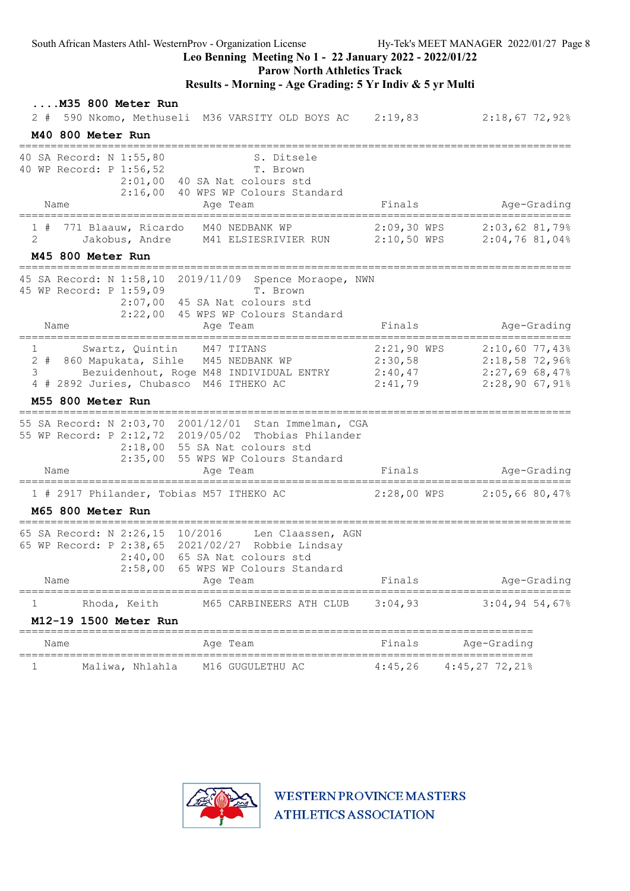Leo Benning Meeting No 1 - 22 January 2022 - 2022/01/22

#### Parow North Athletics Track

### Results - Morning - Age Grading: 5 Yr Indiv & 5 yr Multi

|                                                | $\ldots$ . M35 800 Meter Run<br>M40 800 Meter Run   | 2 # 590 Nkomo, Methuseli M36 VARSITY OLD BOYS AC 2:19,83                                                                                                                                         |                    | $2:18,67$ 72,92%                                                 |  |
|------------------------------------------------|-----------------------------------------------------|--------------------------------------------------------------------------------------------------------------------------------------------------------------------------------------------------|--------------------|------------------------------------------------------------------|--|
| Name                                           | 40 SA Record: N 1:55,80<br>40 WP Record: P 1:56,52  | S. Ditsele<br>T. Brown<br>$2:01,00$ 40 SA Nat colours std<br>2:16,00 40 WPS WP Colours Standard<br>Age Team                                                                                      | Finals             | Age-Grading                                                      |  |
|                                                | ===================                                 | =====================================                                                                                                                                                            |                    | =========================                                        |  |
| 2                                              | 771 Blaauw, Ricardo<br>M45 800 Meter Run            | M40 NEDBANK WP<br>Jakobus, Andre M41 ELSIESRIVIER RUN 2:10,50 WPS 2:04,76 81,04%                                                                                                                 |                    | $2:09,30$ WPS<br>$2:03,62$ 81,79%                                |  |
| Name                                           | 45 WP Record: P 1:59,09                             | 45 SA Record: N 1:58,10 2019/11/09 Spence Moraope, NWN<br>T. Brown<br>2:07,00 45 SA Nat colours std<br>2:22,00 45 WPS WP Colours Standard<br>Age Team                                            | Finals             | Age-Grading                                                      |  |
| $\mathbf{1}$<br>$3 \left( \frac{1}{2} \right)$ | M55 800 Meter Run                                   | Swartz, Quintin M47 TITANS<br>2 # 860 Mapukata, Sihle M45 NEDBANK WP<br>Bezuidenhout, Roge M48 INDIVIDUAL ENTRY 2:40,47 2:27,69 68,47%<br>4 # 2892 Juries, Chubasco M46 ITHEKO AC                | 2:30,58<br>2:41,79 | 2:21,90 WPS 2:10,60 77,43%<br>$2:18,58$ 72,96%<br>2:28,90 67,91% |  |
| Name                                           | ==========================                          | 55 SA Record: N 2:03,70 2001/12/01 Stan Immelman, CGA<br>55 WP Record: P 2:12,72 2019/05/02 Thobias Philander<br>2:18,00 55 SA Nat colours std<br>2:35,00 55 WPS WP Colours Standard<br>Age Team | Finals             | Age-Grading                                                      |  |
|                                                | M65 800 Meter Run                                   | 1 # 2917 Philander, Tobias M57 ITHEKO AC                                                                                                                                                         |                    | 2:28,00 WPS 2:05,66 80,47%                                       |  |
| Name                                           |                                                     | 65 SA Record: N 2:26,15 10/2016 Len Claassen, AGN<br>65 WP Record: P 2:38,65 2021/02/27 Robbie Lindsay<br>2:40,00 65 SA Nat colours std<br>2:58,00 65 WPS WP Colours Standard<br>Age Team        | Finals             | Age-Grading                                                      |  |
| ı                                              | Rhoda, Keith                                        | M65 CARBINEERS ATH CLUB                                                                                                                                                                          | 3:04,93            | $3:04,94,54,67$ <sup>8</sup>                                     |  |
|                                                | M12-19 1500 Meter Run                               |                                                                                                                                                                                                  |                    |                                                                  |  |
| Name                                           |                                                     | Age Team                                                                                                                                                                                         | Finals             | Age-Grading                                                      |  |
|                                                | ================================<br>Maliwa, Nhlahla | =============================<br>M16 GUGULETHU AC                                                                                                                                                | 4:45,26            | $4:45,27$ 72,21%                                                 |  |

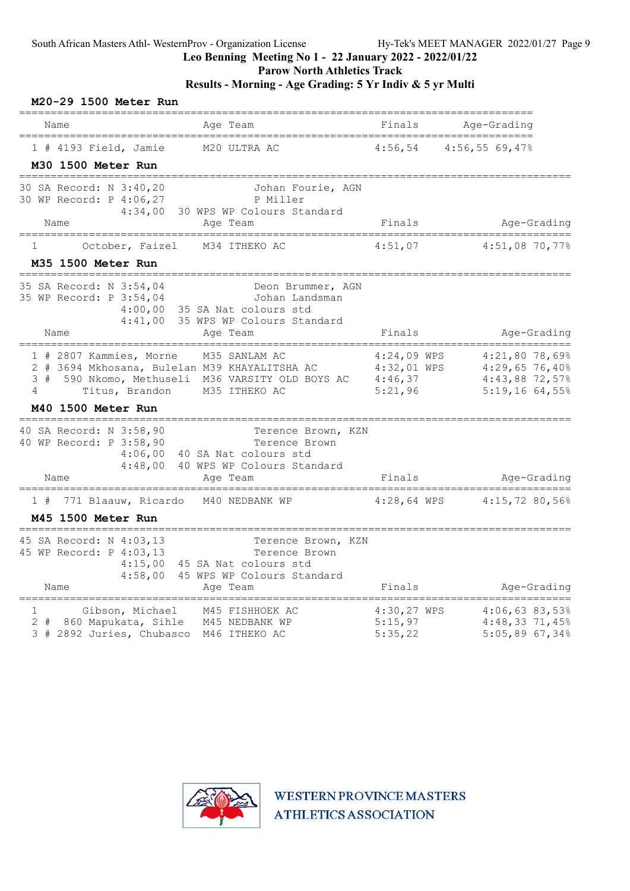### Parow North Athletics Track

| M20-29 1500 Meter Run                                                                       |                                                                                                                                 |                                                    |                                                                          |
|---------------------------------------------------------------------------------------------|---------------------------------------------------------------------------------------------------------------------------------|----------------------------------------------------|--------------------------------------------------------------------------|
| Name                                                                                        | Aqe Team                                                                                                                        | Finals                                             | Age-Grading                                                              |
| ======================<br>1 # 4193 Field, Jamie                                             | M20 ULTRA AC                                                                                                                    | 4:56,54                                            | 4:56,5569,47%                                                            |
| M30 1500 Meter Run                                                                          |                                                                                                                                 |                                                    |                                                                          |
| 30 SA Record: N 3:40,20<br>30 WP Record: P 4:06,27<br>Name                                  | Johan Fourie, AGN<br>P Miller<br>4:34,00<br>30 WPS WP Colours Standard<br>Age Team                                              | Finals                                             | Age-Grading                                                              |
| 1<br>October, Faizel                                                                        | M34 ITHEKO AC                                                                                                                   | 4:51,07                                            | $4:51,08$ 70,77%                                                         |
| M35 1500 Meter Run                                                                          |                                                                                                                                 |                                                    |                                                                          |
| 35 SA Record: N 3:54,04<br>35 WP Record: P 3:54,04<br>Name                                  | Deon Brummer, AGN<br>Johan Landsman<br>$4:00$ ,00<br>35 SA Nat colours std<br>4:41,00<br>35 WPS WP Colours Standard<br>Age Team | Finals                                             | Age-Grading                                                              |
| 1 # 2807 Kammies, Morne<br>3#<br>4<br>Titus, Brandon<br>M40 1500 Meter Run                  | M35 SANLAM AC<br>2 # 3694 Mkhosana, Bulelan M39 KHAYALITSHA AC<br>590 Nkomo, Methuseli M36 VARSITY OLD BOYS AC<br>M35 ITHEKO AC | $4:24,09$ WPS<br>4:32,01 WPS<br>4:46,37<br>5:21,96 | 4:21,80 78,69%<br>$4:29,65$ 76,40%<br>4:43,88 72,57%<br>$5:19,16$ 64,55% |
| 40 SA Record: N 3:58,90<br>40 WP Record: P 3:58,90<br>Name                                  | Terence Brown, KZN<br>Terence Brown<br>4:06,00<br>40 SA Nat colours std<br>4:48,00<br>40 WPS WP Colours Standard<br>Age Team    | Finals                                             | Age-Grading                                                              |
| 771 Blaauw, Ricardo<br>1#                                                                   | M40 NEDBANK WP                                                                                                                  | $4:28,64$ WPS                                      | $4:15,72$ 80,56%                                                         |
| <b>M45 1500 Meter Run</b>                                                                   |                                                                                                                                 |                                                    |                                                                          |
| 45 SA Record: N 4:03,13<br>45 WP Record: P 4:03,13<br>Name                                  | Terence Brown, KZN<br>Terence Brown<br>4:15,00<br>45 SA Nat colours std<br>45 WPS WP Colours Standard<br>4:58,00<br>Age Team    | Finals                                             | Age-Grading                                                              |
| Gibson, Michael<br>$\mathbf 1$<br>$2 +$<br>860 Mapukata, Sihle<br>3 # 2892 Juries, Chubasco | M45 FISHHOEK AC<br>M45 NEDBANK WP<br>M46 ITHEKO AC                                                                              | 4:30,27 WPS<br>5:15,97<br>5:35,22                  | 4:06,6383,53%<br>$4:48,33$ 71,45%<br>$5:05,89$ 67,34%                    |

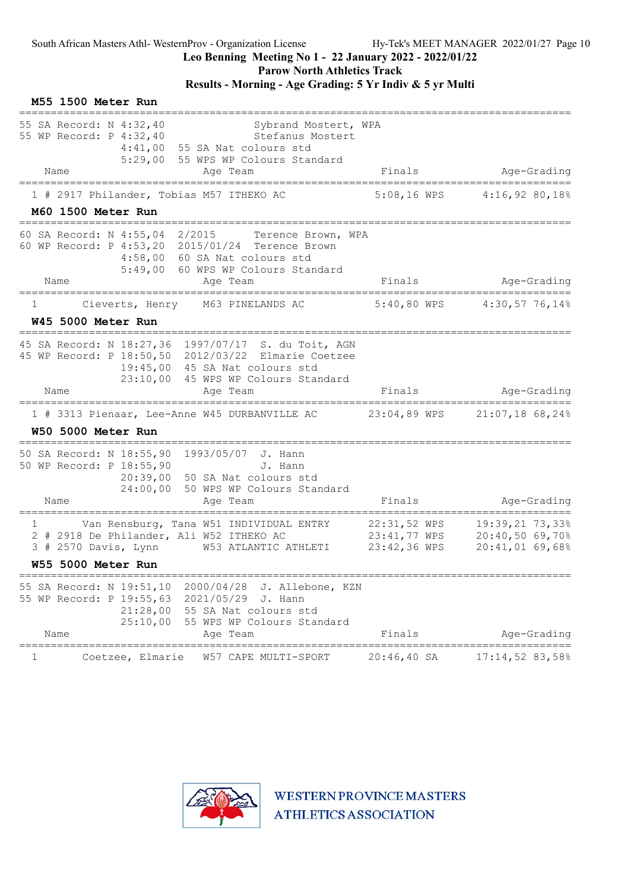# Leo Benning Meeting No 1 - 22 January 2022 - 2022/01/22

Parow North Athletics Track

| M55 1500 Meter Run                                                                                    |                                                                                                                                                                            |                              |                                                       |
|-------------------------------------------------------------------------------------------------------|----------------------------------------------------------------------------------------------------------------------------------------------------------------------------|------------------------------|-------------------------------------------------------|
| 55 SA Record: N 4:32,40<br>55 WP Record: P 4:32,40                                                    | Sybrand Mostert, WPA<br>Stefanus Mostert<br>$4:41,00$ 55 SA Nat colours std<br>5:29,00 55 WPS WP Colours Standard                                                          |                              |                                                       |
| Name                                                                                                  | Age Team                                                                                                                                                                   | Finals                       | Age-Grading                                           |
| 1 # 2917 Philander, Tobias M57 ITHEKO AC                                                              |                                                                                                                                                                            |                              | 5:08,16 WPS 4:16,92 80,18%                            |
| M60 1500 Meter Run                                                                                    |                                                                                                                                                                            |                              |                                                       |
| 60 SA Record: N 4:55,04 2/2015                                                                        | Terence Brown, WPA<br>60 WP Record: P 4:53,20 2015/01/24 Terence Brown<br>4:58,00 60 SA Nat colours std<br>5:49,00 60 WPS WP Colours Standard                              |                              |                                                       |
| Name                                                                                                  | Age Team                                                                                                                                                                   | Finals                       | Age-Grading<br>-----------------------                |
| T                                                                                                     | Cieverts, Henry M63 PINELANDS AC                                                                                                                                           |                              | 5:40,80 WPS 4:30,57 76,14%                            |
| W45 5000 Meter Run<br>___________________________                                                     |                                                                                                                                                                            |                              |                                                       |
| 23:10,00                                                                                              | 45 SA Record: N 18:27,36 1997/07/17 S. du Toit, AGN<br>45 WP Record: P 18:50,50 2012/03/22 Elmarie Coetzee<br>19:45,00 45 SA Nat colours std<br>45 WPS WP Colours Standard |                              |                                                       |
| Name                                                                                                  | Age Team                                                                                                                                                                   | Finals                       | Age-Grading                                           |
| <b>W50 5000 Meter Run</b>                                                                             | 1 # 3313 Pienaar, Lee-Anne W45 DURBANVILLE AC 23:04,89 WPS                                                                                                                 |                              | $21:07,18$ 68,24%                                     |
| 50 SA Record: N 18:55,90 1993/05/07 J. Hann<br>50 WP Record: P 18:55,90<br>Name                       | J. Hann<br>20:39,00 50 SA Nat colours std<br>24:00,00 50 WPS WP Colours Standard<br>Age Team                                                                               | Finals                       | Age-Grading                                           |
| 1<br>2 # 2918 De Philander, Ali W52 ITHEKO AC<br>3 # 2570 Davis, Lynn<br>W55 5000 Meter Run           | Van Rensburg, Tana W51 INDIVIDUAL ENTRY<br>W53 ATLANTIC ATHLETI 23:42,36 WPS                                                                                               | 22:31,52 WPS<br>23:41,77 WPS | 19:39,21 73,33%<br>20:40,50 69,70%<br>20:41,01 69,68% |
| ;=================================<br>55 WP Record: P 19:55,63 2021/05/29 J. Hann<br>25:10,00<br>Name | 55 SA Record: N 19:51,10 2000/04/28 J. Allebone, KZN<br>$21:28,00$ 55 SA Nat colours std<br>55 WPS WP Colours Standard<br>Age Team                                         | Finals                       | Age-Grading                                           |
| Coetzee, Elmarie<br>1                                                                                 | W57 CAPE MULTI-SPORT                                                                                                                                                       | $20:46,40 S$ A               | 17:14,52 83,58%                                       |

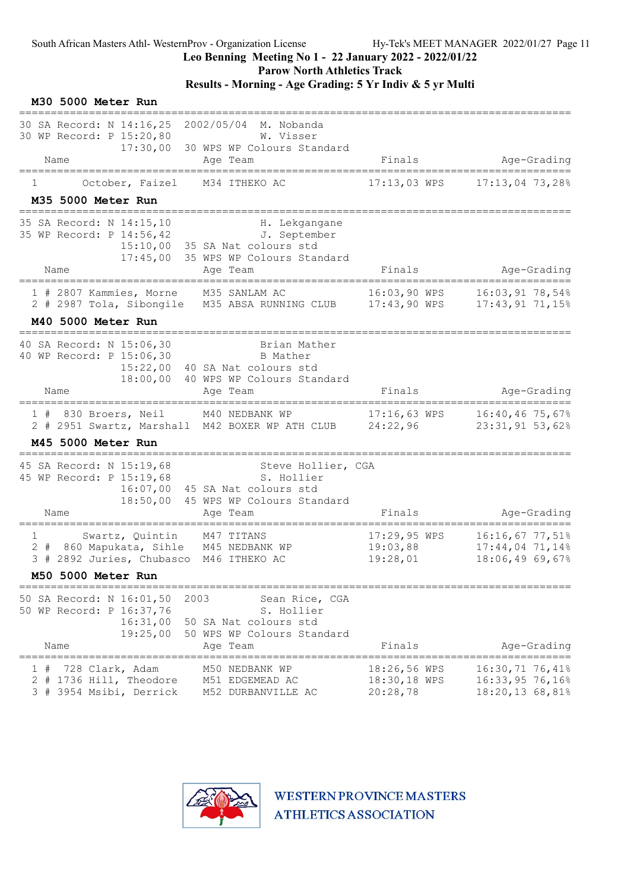Parow North Athletics Track

|              | M30 5000 Meter Run<br>_________________                               |                                                         |                                                                                                                              |                                          |                                                         |
|--------------|-----------------------------------------------------------------------|---------------------------------------------------------|------------------------------------------------------------------------------------------------------------------------------|------------------------------------------|---------------------------------------------------------|
| Name         | 30 SA Record: N 14:16,25<br>30 WP Record: P 15:20,80                  | 17:30,00                                                | 2002/05/04 M. Nobanda<br>W. Visser<br>30 WPS WP Colours Standard<br>Age Team                                                 | Finals                                   | Age-Grading                                             |
|              |                                                                       |                                                         |                                                                                                                              |                                          |                                                         |
| $\mathbf{1}$ | M35 5000 Meter Run                                                    | October, Faizel                                         | M34 ITHEKO AC                                                                                                                | 17:13,03 WPS                             | $17:13,04$ 73,28%                                       |
|              |                                                                       |                                                         |                                                                                                                              |                                          |                                                         |
|              | 35 SA Record: N 14:15,10<br>35 WP Record: P 14:56,42                  | 15:10,00<br>17:45,00                                    | H. Lekgangane<br>J. September<br>35 SA Nat colours std<br>35 WPS WP Colours Standard                                         |                                          |                                                         |
| Name         |                                                                       |                                                         | Age Team                                                                                                                     | Finals                                   | Age-Grading                                             |
|              |                                                                       | 1 # 2807 Kammies, Morne                                 | M35 SANLAM AC<br>2 # 2987 Tola, Sibongile M35 ABSA RUNNING CLUB 17:43,90 WPS                                                 | 16:03,90 WPS                             | 16:03,91 78,54%<br>$17:43,91$ 71,15%                    |
|              | M40 5000 Meter Run                                                    |                                                         |                                                                                                                              |                                          |                                                         |
|              | 40 SA Record: N 15:06,30<br>40 WP Record: P 15:06,30                  | ===============================<br>15:22,00<br>18:00,00 | Brian Mather<br>B Mather<br>40 SA Nat colours std<br>40 WPS WP Colours Standard                                              |                                          |                                                         |
| Name         |                                                                       |                                                         | Age Team                                                                                                                     | Finals                                   | Age-Grading                                             |
|              |                                                                       |                                                         | 1 # 830 Broers, Neil M40 NEDBANK WP 17:16,63 WPS 16:40,46 75,67%<br>2 # 2951 Swartz, Marshall M42 BOXER WP ATH CLUB 24:22,96 |                                          | 23:31,91 53,62%                                         |
|              | M45 5000 Meter Run                                                    |                                                         |                                                                                                                              |                                          |                                                         |
| Name         | 45 SA Record: N 15:19,68<br>45 WP Record: P 15:19,68                  | 16:07,00<br>18:50,00                                    | Steve Hollier, CGA<br>S. Hollier<br>45 SA Nat colours std<br>45 WPS WP Colours Standard<br>Age Team                          | Finals                                   | Age-Grading                                             |
| 1            |                                                                       | Swartz, Quintin                                         | M47 TITANS<br>2 # 860 Mapukata, Sihle M45 NEDBANK WP<br>3 # 2892 Juries, Chubasco M46 ITHEKO AC                              | $17:29,95$ WPS<br>19:03,88<br>19:28,01   | 16:16,67 77,51%<br>$17:44,04$ 71,14%<br>18:06,49 69,67% |
|              | M50 5000 Meter Run                                                    |                                                         |                                                                                                                              |                                          |                                                         |
|              | 50 SA Record: N 16:01,50<br>50 WP Record: P 16:37,76                  | 16:31,00<br>19:25,00                                    | 2003<br>Sean Rice, CGA<br>S. Hollier<br>50 SA Nat colours std<br>50 WPS WP Colours Standard                                  |                                          |                                                         |
| Name         |                                                                       |                                                         | Age Team                                                                                                                     | Finals                                   | Age-Grading                                             |
|              | 728 Clark, Adam<br>2 # 1736 Hill, Theodore<br>3 # 3954 Msibi, Derrick |                                                         | M50 NEDBANK WP<br>M51 EDGEMEAD AC<br>M52 DURBANVILLE AC                                                                      | 18:26,56 WPS<br>18:30,18 WPS<br>20:28,78 | 16:30,71 76,41%<br>16:33,95 76,16%<br>18:20,13 68,81%   |

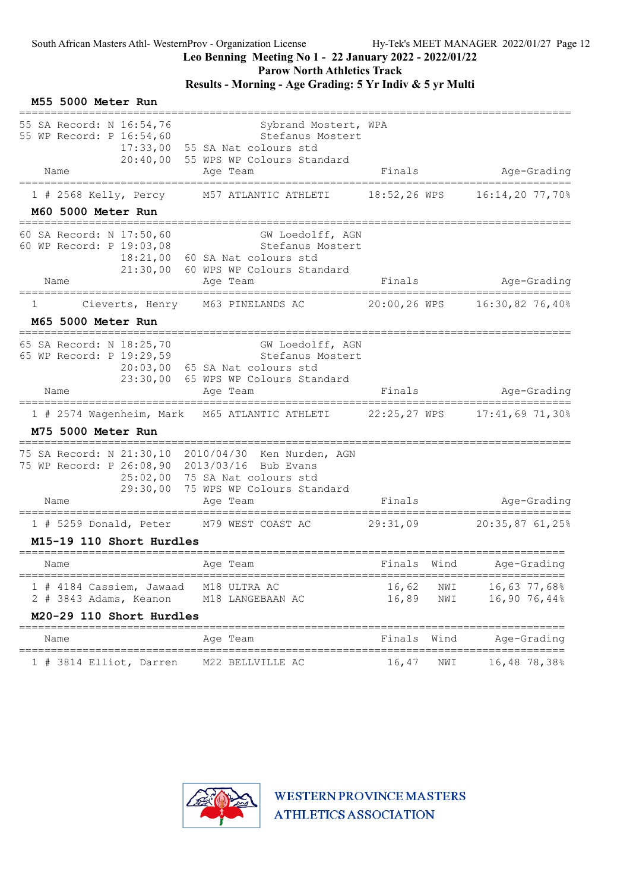#### Leo Benning Meeting No 1 - 22 January 2022 - 2022/01/22

Parow North Athletics Track

### Results - Morning - Age Grading: 5 Yr Indiv & 5 yr Multi

| M55 5000 Meter Run                                                                      |                                                                                                                  |                |            |                              |
|-----------------------------------------------------------------------------------------|------------------------------------------------------------------------------------------------------------------|----------------|------------|------------------------------|
| 55 SA Record: N 16:54,76<br>55 WP Record: P 16:54,60<br>17:33,00<br>20:40,00<br>Name    | Sybrand Mostert, WPA<br>Stefanus Mostert<br>55 SA Nat colours std<br>55 WPS WP Colours Standard<br>Age Team      | Finals         |            | Age-Grading                  |
| $1$ # 2568 Kelly, Percy                                                                 | M57 ATLANTIC ATHLETI                                                                                             | 18:52,26 WPS   |            | 16:14,20 77,70%              |
| M60 5000 Meter Run                                                                      |                                                                                                                  |                |            |                              |
| 60 SA Record: N 17:50,60<br>60 WP Record: P 19:03,08<br>18:21,00<br>21:30,00<br>Name    | GW Loedolff, AGN<br>Stefanus Mostert<br>60 SA Nat colours std<br>60 WPS WP Colours Standard<br>Age Team          | Finals         |            | Age-Grading                  |
| ====================================                                                    | ======================                                                                                           |                |            |                              |
| Cieverts, Henry M63 PINELANDS AC<br>1                                                   |                                                                                                                  |                |            |                              |
| M65 5000 Meter Run                                                                      |                                                                                                                  |                |            |                              |
| 65 SA Record: N 18:25,70<br>65 WP Record: P 19:29,59<br>23:30,00<br>Name                | GW Loedolff, AGN<br>Stefanus Mostert<br>20:03,00 65 SA Nat colours std<br>65 WPS WP Colours Standard<br>Age Team | Finals         |            | Age-Grading                  |
|                                                                                         |                                                                                                                  |                |            |                              |
| M75 5000 Meter Run                                                                      | 1 # 2574 Wagenheim, Mark M65 ATLANTIC ATHLETI 22:25,27 WPS 17:41,69 71,30%                                       |                |            |                              |
| 75 SA Record: N 21:30,10 2010/04/30<br>75 WP Record: P 26:08,90<br>25:02,00<br>29:30,00 | Ken Nurden, AGN<br>2013/03/16 Bub Evans<br>75 SA Nat colours std<br>75 WPS WP Colours Standard                   |                |            |                              |
| Name                                                                                    | Age Team                                                                                                         | Finals         |            | Age-Grading                  |
| 1 # 5259 Donald, Peter M79 WEST COAST AC                                                |                                                                                                                  | 29:31,09       |            | 20:35,87 61,25%              |
| M15-19 110 Short Hurdles                                                                |                                                                                                                  |                |            |                              |
| Name                                                                                    | Age Team                                                                                                         | Finals         | Wind       | Age-Grading                  |
| 1 # 4184 Cassiem, Jawaad<br>2 # 3843 Adams, Keanon                                      | =====================<br>M18 ULTRA AC<br>M18 LANGEBAAN AC                                                        | 16,62<br>16,89 | NWI<br>NWI | 16,63 77,68%<br>16,90 76,44% |
| M20-29 110 Short Hurdles                                                                | __________                                                                                                       |                |            |                              |
| Name                                                                                    | Age Team                                                                                                         | Finals         | Wind       | Age-Grading<br>============= |
| 1 # 3814 Elliot, Darren                                                                 | M22 BELLVILLE AC                                                                                                 | 16,47          | NWI        | 16,48 78,38%                 |

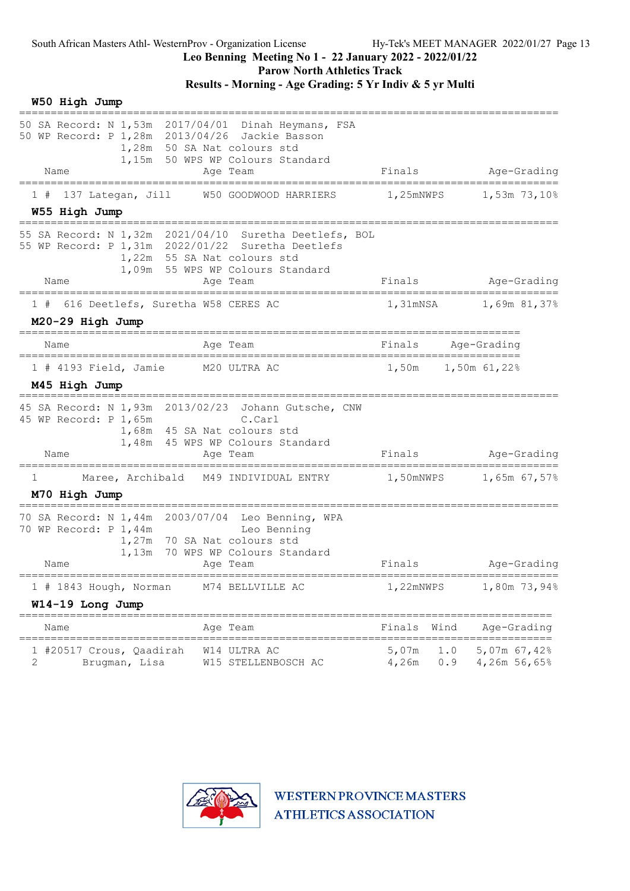Parow North Athletics Track

# Results - Morning - Age Grading: 5 Yr Indiv & 5 yr Multi

| W50 High Jump |  |
|---------------|--|
|---------------|--|

| 50 SA Record: N 1,53m 2017/04/01 Dinah Heymans, FSA<br>50 WP Record: P 1,28m 2013/04/26 Jackie Basson | 1,28m 50 SA Nat colours std<br>1,15m 50 WPS WP Colours Standard                                                                       |                                               |                              |
|-------------------------------------------------------------------------------------------------------|---------------------------------------------------------------------------------------------------------------------------------------|-----------------------------------------------|------------------------------|
| Name<br>----------------------                                                                        | Age Team                                                                                                                              | Finals<br>----------------------------------- | Age-Grading<br>______        |
| 137 Lategan, Jill<br>1#<br>W55 High Jump                                                              | W50 GOODWOOD HARRIERS                                                                                                                 | 1,25mNWPS                                     | 1,53m 73,10%                 |
| 55 WP Record: P 1,31m 2022/01/22 Suretha Deetlefs<br>Name                                             | 55 SA Record: N 1,32m 2021/04/10 Suretha Deetlefs, BOL<br>1,22m 55 SA Nat colours std<br>1,09m 55 WPS WP Colours Standard<br>Age Team |                                               | Finals Age-Grading           |
|                                                                                                       | ==============                                                                                                                        |                                               |                              |
| 1 # 616 Deetlefs, Suretha W58 CERES AC                                                                |                                                                                                                                       |                                               | 1,31mNSA 1,69m 81,37%        |
| M20-29 High Jump                                                                                      |                                                                                                                                       |                                               |                              |
| Name                                                                                                  | Age Team                                                                                                                              | Finals                                        | Aqe-Grading                  |
| 1 # 4193 Field, Jamie M20 ULTRA AC<br>M45 High Jump                                                   |                                                                                                                                       |                                               |                              |
| 45 SA Record: N 1,93m 2013/02/23 Johann Gutsche, CNW<br>45 WP Record: P 1,65m<br>Name                 | C.Carl<br>1,68m 45 SA Nat colours std<br>1,48m 45 WPS WP Colours Standard<br>Aqe Team                                                 | Finals                                        | Age-Grading                  |
| 1                                                                                                     | Maree, Archibald M49 INDIVIDUAL ENTRY 1,50mNWPS                                                                                       |                                               | 1,65m 67,57%                 |
| M70 High Jump                                                                                         |                                                                                                                                       |                                               |                              |
| 70 SA Record: N 1,44m 2003/07/04 Leo Benning, WPA<br>70 WP Record: P 1,44m<br>Name                    | Example Leo Benning<br>1,27m 70 SA Nat colours std<br>1,13m 70 WPS WP Colours Standard<br>Age Team                                    | Finals                                        | Age-Grading                  |
| $1$ # 1843 Hough, Norman                                                                              | ==========<br>M74 BELLVILLE AC                                                                                                        | 1,22mNWPS                                     | ============<br>1,80m 73,94% |
| W14-19 Long Jump                                                                                      |                                                                                                                                       |                                               |                              |
| Name                                                                                                  | Age Team                                                                                                                              | Finals<br>Wind                                | Age-Grading                  |
| 1 #20517 Crous, Qaadirah<br>2<br>Brugman, Lisa                                                        | W14 ULTRA AC<br>W15 STELLENBOSCH AC                                                                                                   | 5,07m<br>1.0<br>4,26m<br>0.9                  | 5,07m 67,42%<br>4,26m 56,65% |

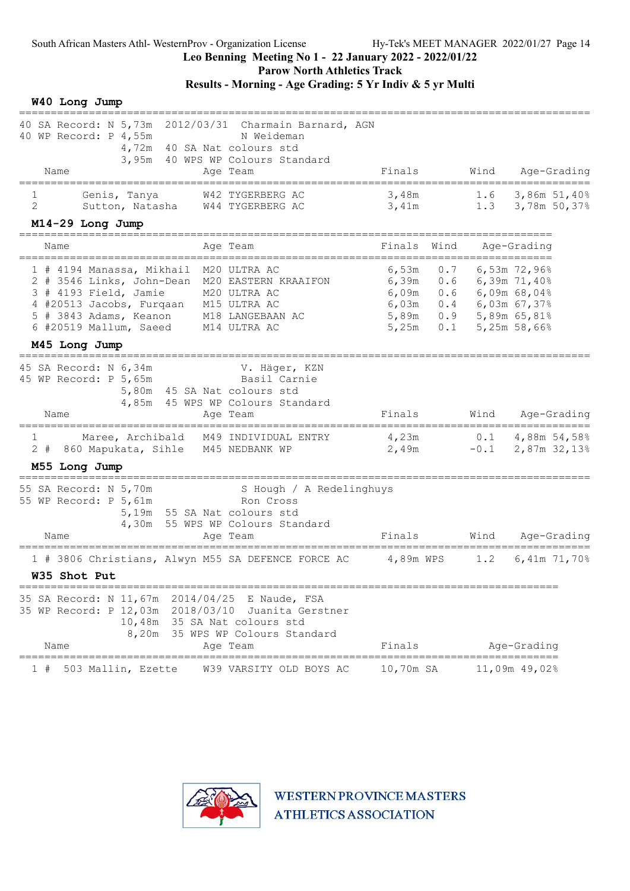Parow North Athletics Track

# Results - Morning - Age Grading: 5 Yr Indiv & 5 yr Multi

W40 Long Jump

| 40 SA Record: N 5,73m 2012/03/31 Charmain Barnard, AGN<br>40 WP Record: P 4,55m<br>N Weideman<br>4,72m 40 SA Nat colours std                                                                                                             |                                                                                                                                                      |
|------------------------------------------------------------------------------------------------------------------------------------------------------------------------------------------------------------------------------------------|------------------------------------------------------------------------------------------------------------------------------------------------------|
| 3,95m 40 WPS WP Colours Standard<br>Name<br>Age Team                                                                                                                                                                                     | Finals<br>Wind<br>Age-Grading                                                                                                                        |
| Genis, Tanya<br>1<br>W42 TYGERBERG AC<br>$\overline{2}$<br>Sutton, Natasha<br>W44 TYGERBERG AC                                                                                                                                           | 3,48m<br>3,86m 51,40%<br>1.6<br>1.3 3,78m $50,378$<br>3,41m                                                                                          |
| M14-29 Long Jump                                                                                                                                                                                                                         |                                                                                                                                                      |
| Name<br>Age Team                                                                                                                                                                                                                         | Finals<br>Wind<br>Age-Grading                                                                                                                        |
| 1 # 4194 Manassa, Mikhail<br>M20 ULTRA AC<br>2 # 3546 Links, John-Dean<br>M20 EASTERN KRAAIFON<br>3 # 4193 Field, Jamie<br>M20 ULTRA AC<br>4 #20513 Jacobs, Furqaan<br>M15 ULTRA AC<br>5 # 3843 Adams, Keanon<br>M18 LANGEBAAN AC        | 6,53m<br>0.7<br>6,53m 72,96%<br>6,39m 0.6<br>$6,39m$ 71,40%<br>6,09m $0.6$ 6,09m 68,04%<br>6,03m   0.4   6,03m   67,37%<br>5,89m  0.9  5,89m  65,81% |
| 6 #20519 Mallum, Saeed<br>M14 ULTRA AC<br>M45 Long Jump                                                                                                                                                                                  | 5,25m 58,66%<br>5,25m<br>0.1                                                                                                                         |
| 45 SA Record: N 6,34m<br>V. Häger, KZN<br>Basil Carnie<br>45 WP Record: P 5,65m<br>5,80m 45 SA Nat colours std<br>4,85m 45 WPS WP Colours Standard<br>Name<br>Age Team                                                                   | Finals<br>Wind<br>Age-Grading                                                                                                                        |
| $\mathbf{1}$<br>Maree, Archibald M49 INDIVIDUAL ENTRY<br>2 # 860 Mapukata, Sihle<br>M45 NEDBANK WP<br>M55 Long Jump                                                                                                                      | 4,23m<br>$0.1$ 4,88m 54,58%<br>2,49m<br>$-0.1$<br>2,87m 32,13%                                                                                       |
| 55 SA Record: N 5,70m<br>S Hough / A Redelinghuys<br>55 WP Record: P 5,61m<br>Ron Cross<br>5,19m 55 SA Nat colours std<br>4,30m 55 WPS WP Colours Standard<br>Name<br>Age Team                                                           | Finals<br>Wind<br>Age-Grading                                                                                                                        |
| 1 # 3806 Christians, Alwyn M55 SA DEFENCE FORCE AC<br>W35 Shot Put                                                                                                                                                                       | 4,89m WPS<br>1.2<br>6,41m 71,70%                                                                                                                     |
| -------------------------------------<br>35 SA Record: N 11,67m 2014/04/25<br>E Naude, FSA<br>35 WP Record: P 12,03m 2018/03/10 Juanita Gerstner<br>10,48m 35 SA Nat colours std<br>8,20m 35 WPS WP Colours Standard<br>Name<br>Age Team | Finals<br>Age-Grading                                                                                                                                |
| W39 VARSITY OLD BOYS AC<br>503 Mallin, Ezette<br>1#                                                                                                                                                                                      | 10,70m SA<br>11,09m 49,02%                                                                                                                           |

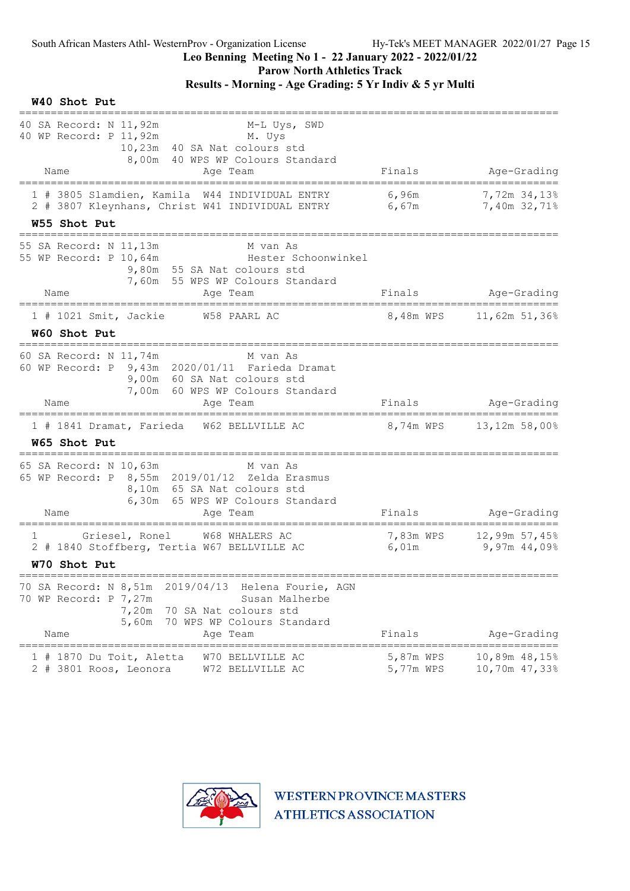# Leo Benning Meeting No 1 - 22 January 2022 - 2022/01/22

Parow North Athletics Track

### Results - Morning - Age Grading: 5 Yr Indiv & 5 yr Multi

W40 Shot Put

| 40 SA Record: N 11,92m<br>M. Uys<br>40 WP Record: P 11,92m<br>10,23m 40 SA Nat colours std<br>8,00m 40 WPS WP Colours Standard                                                                      | M-L Uys, SWD                                                      |
|-----------------------------------------------------------------------------------------------------------------------------------------------------------------------------------------------------|-------------------------------------------------------------------|
| Name<br>Age Team                                                                                                                                                                                    | Finals<br>Age-Grading<br>==============                           |
| 1 # 3805 Slamdien, Kamila W44 INDIVIDUAL ENTRY<br>2 # 3807 Kleynhans, Christ W41 INDIVIDUAL ENTRY 6,67m                                                                                             | 6,96m<br>7,72m 34,13%<br>7,40m 32,71%                             |
| W55 Shot Put                                                                                                                                                                                        |                                                                   |
| 55 SA Record: N 11,13m<br>55 WP Record: P 10,64m<br>9,80m 55 SA Nat colours std<br>7,60m 55 WPS WP Colours Standard                                                                                 | M van As<br>Hester Schoonwinkel                                   |
| Name<br>Age Team                                                                                                                                                                                    | Age-Grading<br>Finals                                             |
| W58 PAARL AC<br>$1$ # 1021 Smit, Jackie                                                                                                                                                             |                                                                   |
| W60 Shot Put                                                                                                                                                                                        |                                                                   |
| ===============================<br>60 SA Record: N 11,74m<br>60 WP Record: P 9,43m 2020/01/11 Farieda Dramat<br>9,00m 60 SA Nat colours std<br>7,00m 60 WPS WP Colours Standard<br>Name<br>Age Team | M van As<br>Finals<br>Age-Grading                                 |
|                                                                                                                                                                                                     | 1 # 1841 Dramat, Farieda W62 BELLVILLE AC 8,74m WPS 13,12m 58,00% |
| W65 Shot Put                                                                                                                                                                                        |                                                                   |
| 65 SA Record: N 10,63m<br>65 WP Record: P 8,55m 2019/01/12 Zelda Erasmus<br>8,10m 65 SA Nat colours std<br>6,30m 65 WPS WP Colours Standard<br>Name<br>Age Team                                     | M van As<br>Age-Grading<br>Finals                                 |
| Griesel, Ronel<br>W68 WHALERS AC<br>T<br>2 # 1840 Stoffberg, Tertia W67 BELLVILLE AC                                                                                                                | 7,83m WPS 12,99m 57,45%<br>6,01m<br>9,97m 44,09%                  |
| W70 Shot Put                                                                                                                                                                                        |                                                                   |
| 70 SA Record: N 8,51m<br>2019/04/13<br>70 WP Record: P 7,27m<br>70 SA Nat colours std<br>7,20m<br>5,60m<br>70 WPS WP Colours Standard<br>Name<br>Age Team                                           | Helena Fourie, AGN<br>Susan Malherbe<br>Finals<br>Age-Grading     |
| 1 # 1870 Du Toit, Aletta<br>W70 BELLVILLE AC<br>2 # 3801 Roos, Leonora<br>W72 BELLVILLE AC                                                                                                          | 5,87m WPS<br>10,89m 48,15%<br>10,70m 47,33%<br>5,77m WPS          |

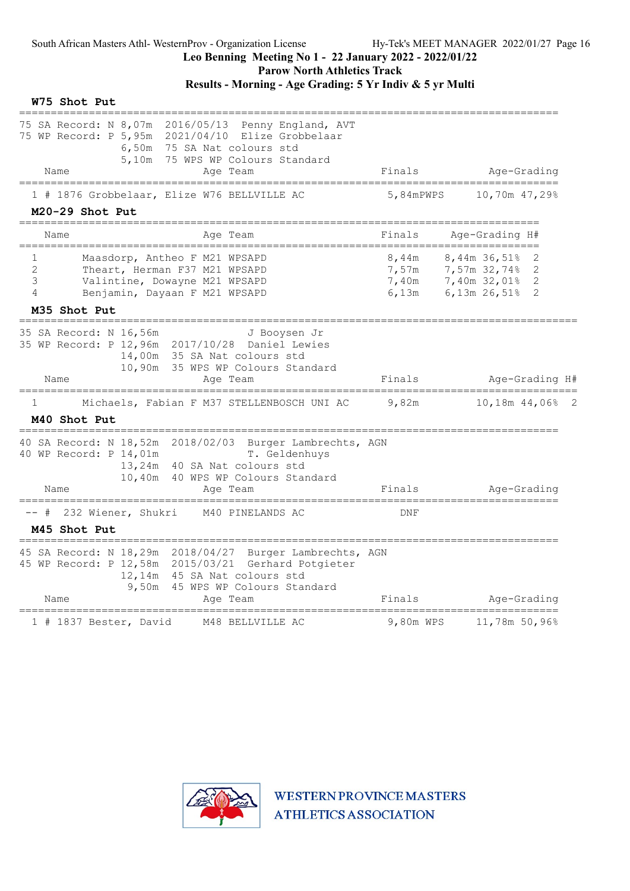### Leo Benning Meeting No 1 - 22 January 2022 - 2022/01/22 Parow North Athletics Track

Results - Morning - Age Grading: 5 Yr Indiv & 5 yr Multi

| W75 Shot Put                                                                                                                                                                                               |           |                                                                                           |
|------------------------------------------------------------------------------------------------------------------------------------------------------------------------------------------------------------|-----------|-------------------------------------------------------------------------------------------|
| 75 SA Record: N 8,07m 2016/05/13 Penny England, AVT<br>75 WP Record: P 5,95m 2021/04/10 Elize Grobbelaar<br>6,50m 75 SA Nat colours std<br>5,10m 75 WPS WP Colours Standard<br>Name<br>Age Team            | Finals    | Age-Grading                                                                               |
| 1 # 1876 Grobbelaar, Elize W76 BELLVILLE AC<br>M20-29 Shot Put                                                                                                                                             | 5,84mPWPS | 10,70m 47,29%                                                                             |
| Name<br>Age Team                                                                                                                                                                                           | Finals    | Age-Grading H#                                                                            |
| Maasdorp, Antheo F M21 WPSAPD<br>1<br>2<br>Theart, Herman F37 M21 WPSAPD<br>3<br>Valintine, Dowayne M21 WPSAPD<br>4<br>Benjamin, Dayaan F M21 WPSAPD<br>M35 Shot Put                                       | 6,13m     | 8,44m 8,44m 36,51% 2<br>7,57m 7,57m 32,74% 2<br>7,40m 7,40m 32,01% 2<br>6,13m 26,51%<br>2 |
| 35 SA Record: N 16,56m<br>J Booysen Jr<br>35 WP Record: P 12,96m 2017/10/28 Daniel Lewies<br>14,00m 35 SA Nat colours std<br>10,90m 35 WPS WP Colours Standard<br>Name<br>Age Team                         | Finals    | Age-Grading H#                                                                            |
| --------------------<br>Michaels, Fabian F M37 STELLENBOSCH UNI AC<br>1<br>M40 Shot Put<br>========================                                                                                        | 9,82m     | 10,18m 44,06% 2                                                                           |
| 40 SA Record: N 18,52m 2018/02/03 Burger Lambrechts, AGN<br>40 WP Record: P 14,01m<br>T. Geldenhuys<br>13,24m<br>40 SA Nat colours std<br>10,40m<br>40 WPS WP Colours Standard<br>Name<br>Age Team         | Finals    | Age-Grading                                                                               |
| ========================<br>=====================================<br>-- # 232 Wiener, Shukri<br>M40 PINELANDS AC                                                                                           | DNF       | =====================                                                                     |
| M45 Shot Put                                                                                                                                                                                               |           |                                                                                           |
| 45 SA Record: N 18,29m 2018/04/27 Burger Lambrechts, AGN<br>45 WP Record: P 12,58m 2015/03/21 Gerhard Potgieter<br>12,14m 45 SA Nat colours std<br>9,50m<br>45 WPS WP Colours Standard<br>Name<br>Age Team | Finals    | Age-Grading                                                                               |
| 1 # 1837 Bester, David<br>M48 BELLVILLE AC                                                                                                                                                                 | 9,80m WPS | 11,78m 50,96%                                                                             |

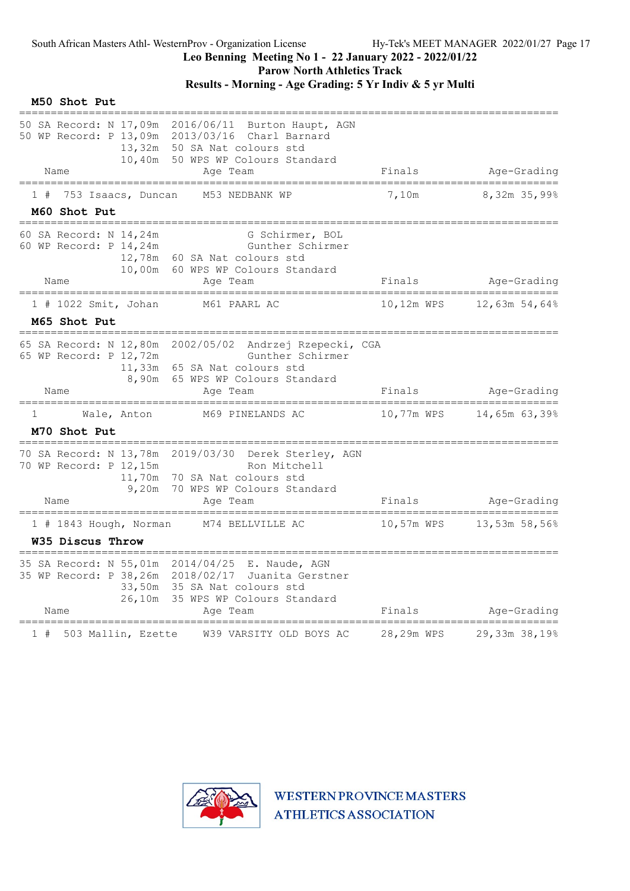Parow North Athletics Track

# Results - Morning - Age Grading: 5 Yr Indiv & 5 yr Multi

| M50 Shot Put                                             |                              |                                                                                                                 |            |                                           |
|----------------------------------------------------------|------------------------------|-----------------------------------------------------------------------------------------------------------------|------------|-------------------------------------------|
| 50 WP Record: P 13,09m 2013/03/16 Charl Barnard          | 13,32m 50 SA Nat colours std | 50 SA Record: N 17,09m 2016/06/11 Burton Haupt, AGN<br>10,40m 50 WPS WP Colours Standard                        |            |                                           |
| Name                                                     |                              | Age Team                                                                                                        | Finals     | Age-Grading                               |
| 753 Isaacs, Duncan<br>1#                                 |                              | M53 NEDBANK WP                                                                                                  | 7,10m      | ====================<br>8,32m 35,99%      |
| M60 Shot Put                                             |                              |                                                                                                                 |            |                                           |
| 60 SA Record: N 14,24m<br>60 WP Record: P 14,24m<br>Name | 12,78m 60 SA Nat colours std | G Schirmer, BOL<br>Gunther Schirmer<br>10,00m 60 WPS WP Colours Standard<br>Age Team                            | Finals     | Age-Grading                               |
|                                                          |                              |                                                                                                                 |            |                                           |
| $1$ # 1022 Smit, Johan                                   |                              | M61 PAARL AC                                                                                                    | 10,12m WPS | 12,63m 54,64%                             |
| M65 Shot Put                                             |                              |                                                                                                                 |            |                                           |
| 65 WP Record: P 12,72m                                   | 11,33m 65 SA Nat colours std | 65 SA Record: N 12,80m 2002/05/02 Andrzej Rzepecki, CGA<br>Gunther Schirmer<br>8,90m 65 WPS WP Colours Standard |            |                                           |
| Name                                                     |                              | Age Team                                                                                                        | Finals     | Age-Grading                               |
| $\mathbf{1}$<br>Wale, Anton<br>M70 Shot Put              |                              | M69 PINELANDS AC                                                                                                | 10,77m WPS | 14,65m 63,39%                             |
| 70 WP Record: P 12,15m                                   | 11,70m 70 SA Nat colours std | 70 SA Record: N 13,78m 2019/03/30 Derek Sterley, AGN<br>Ron Mitchell<br>9,20m 70 WPS WP Colours Standard        |            |                                           |
| Name<br>========================                         |                              | Age Team<br>______________________<br>================                                                          | Finals     | Age-Grading<br>========================== |
| 1 # 1843 Hough, Norman                                   |                              | M74 BELLVILLE AC                                                                                                | 10,57m WPS | 13,53m 58,56%                             |
| W35 Discus Throw                                         |                              |                                                                                                                 |            |                                           |
| 35 SA Record: N 55,01m 2014/04/25 E. Naude, AGN<br>Name  | 33,50m 35 SA Nat colours std | 35 WP Record: P 38,26m 2018/02/17 Juanita Gerstner<br>26,10m 35 WPS WP Colours Standard<br>Aqe Team             | Finals     | Age-Grading                               |
| 1#<br>503 Mallin, Ezette                                 |                              | W39 VARSITY OLD BOYS AC                                                                                         | 28,29m WPS | 29,33m 38,19%                             |

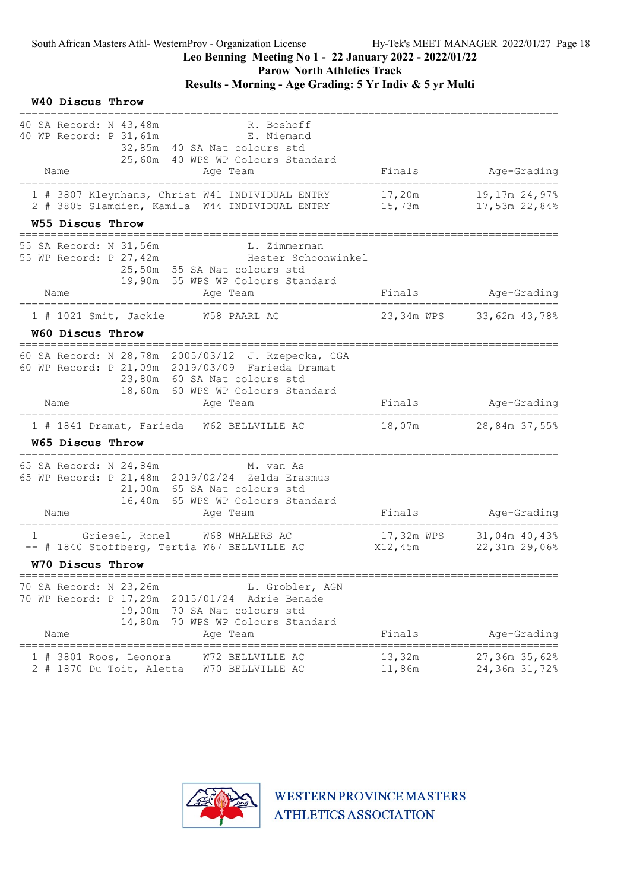W40 Discus Throw

### Leo Benning Meeting No 1 - 22 January 2022 - 2022/01/22

Parow North Athletics Track

### Results - Morning - Age Grading: 5 Yr Indiv & 5 yr Multi

|   | 40 SA Record: N 43,48m<br>40 WP Record: P 31,61m         |                  | R. Boshoff<br>E. Niemand<br>32,85m 40 SA Nat colours std<br>25,60m 40 WPS WP Colours Standard                                                                               | Finals                | Age-Grading                    |
|---|----------------------------------------------------------|------------------|-----------------------------------------------------------------------------------------------------------------------------------------------------------------------------|-----------------------|--------------------------------|
|   | Name                                                     |                  | Aqe Team                                                                                                                                                                    |                       |                                |
|   |                                                          |                  | 1 # 3807 Kleynhans, Christ W41 INDIVIDUAL ENTRY<br>2 # 3805 Slamdien, Kamila W44 INDIVIDUAL ENTRY                                                                           | 17,20m<br>15,73m      | 19,17m 24,97%<br>17,53m 22,84% |
|   | <b>W55 Discus Throw</b>                                  |                  |                                                                                                                                                                             |                       |                                |
|   | 55 SA Record: N 31,56m<br>55 WP Record: P 27,42m         |                  | L. Zimmerman<br>Hester Schoonwinkel<br>25,50m 55 SA Nat colours std<br>19,90m 55 WPS WP Colours Standard                                                                    |                       |                                |
|   | Name                                                     |                  | Age Team                                                                                                                                                                    | Finals                | Age-Grading                    |
|   | $1$ # 1021 Smit, Jackie                                  |                  | W58 PAARL AC                                                                                                                                                                |                       | 23,34m WPS 33,62m 43,78%       |
|   | W60 Discus Throw                                         |                  |                                                                                                                                                                             |                       |                                |
|   | __________________________________                       |                  | 60 SA Record: N 28,78m 2005/03/12 J. Rzepecka, CGA<br>60 WP Record: P 21,09m 2019/03/09 Farieda Dramat<br>23,80m 60 SA Nat colours std<br>18,60m 60 WPS WP Colours Standard |                       |                                |
|   | Name                                                     |                  | Aqe Team                                                                                                                                                                    | Finals                | Age-Grading                    |
|   | W65 Discus Throw                                         |                  | 1 # 1841 Dramat, Farieda W62 BELLVILLE AC                                                                                                                                   | 18,07m                | 28,84m 37,55%                  |
|   | 65 SA Record: N 24,84m<br>Name                           |                  | M. van As<br>65 WP Record: P 21, 48m 2019/02/24 Zelda Erasmus<br>21,00m 65 SA Nat colours std<br>16,40m 65 WPS WP Colours Standard<br>Age Team                              | Finals                | Age-Grading                    |
| 1 |                                                          | Griesel, Ronel   | W68 WHALERS AC<br>-- # 1840 Stoffberg, Tertia W67 BELLVILLE AC                                                                                                              | 17,32m WPS<br>X12,45m | 31,04m 40,43%<br>22,31m 29,06% |
|   | W70 Discus Throw                                         |                  |                                                                                                                                                                             |                       |                                |
|   | 70 SA Record: N 23,26m<br>70 WP Record: P 17,29m<br>Name | 19,00m<br>14,80m | L. Grobler, AGN<br>Adrie Benade<br>2015/01/24<br>70 SA Nat colours std<br>70 WPS WP Colours Standard<br>Age Team                                                            | Finals                | Age-Grading                    |
| # | 3801 Roos, Leonora<br>2 # 1870 Du Toit, Aletta           |                  | W72 BELLVILLE AC<br>W70 BELLVILLE AC                                                                                                                                        | 13,32m<br>11,86m      | 27,36m 35,62%<br>24,36m 31,72% |

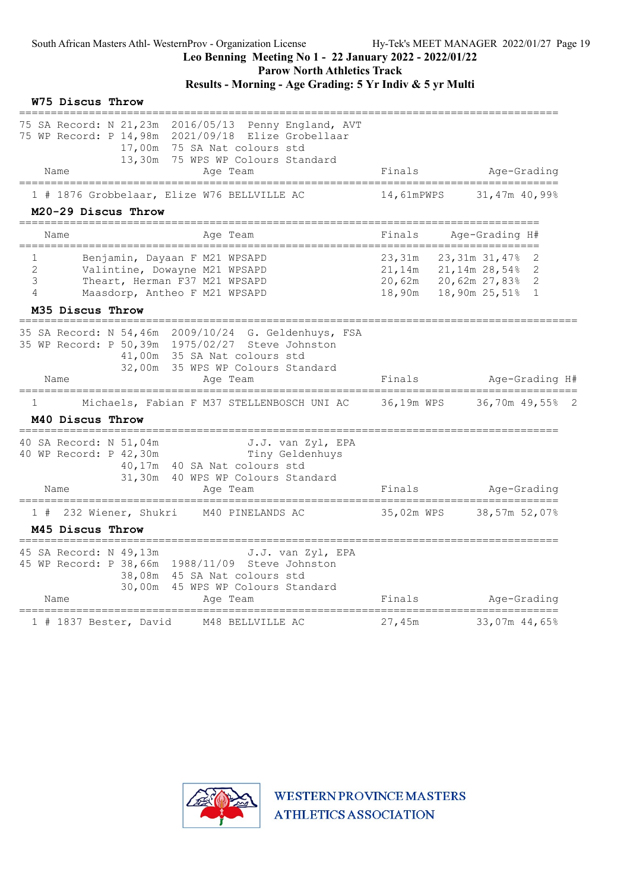### Leo Benning Meeting No 1 - 22 January 2022 - 2022/01/22 Parow North Athletics Track

# Results - Morning - Age Grading: 5 Yr Indiv & 5 yr Multi

| W75 Discus Throw                                 |                                                                                                                                                                                       |                                      |                                                                                     |
|--------------------------------------------------|---------------------------------------------------------------------------------------------------------------------------------------------------------------------------------------|--------------------------------------|-------------------------------------------------------------------------------------|
|                                                  | 75 SA Record: N 21,23m 2016/05/13 Penny England, AVT<br>75 WP Record: P 14,98m 2021/09/18 Elize Grobellaar<br>75 SA Nat colours std<br>17,00m<br>13,30m<br>75 WPS WP Colours Standard |                                      |                                                                                     |
| Name                                             | Age Team                                                                                                                                                                              | Finals                               | Age-Grading                                                                         |
|                                                  | 1 # 1876 Grobbelaar, Elize W76 BELLVILLE AC                                                                                                                                           | 14,61mPWPS                           | 31,47m 40,99%                                                                       |
| M20-29 Discus Throw                              |                                                                                                                                                                                       |                                      |                                                                                     |
| Name                                             | Age Team                                                                                                                                                                              | Finals                               | Age-Grading H#                                                                      |
| 1<br>$\mathbf{2}^{\prime}$<br>3<br>4             | Benjamin, Dayaan F M21 WPSAPD<br>Valintine, Dowayne M21 WPSAPD<br>Theart, Herman F37 M21 WPSAPD<br>Maasdorp, Antheo F M21 WPSAPD                                                      | 23,31m<br>21,14m<br>20,62m<br>18,90m | 23,31m 31,47%<br>2<br>$21,14m$ $28,54\%$<br>2<br>20,62m 27,83% 2<br>18,90m 25,51% 1 |
| M35 Discus Throw                                 |                                                                                                                                                                                       |                                      |                                                                                     |
|                                                  | 35 SA Record: N 54,46m 2009/10/24 G. Geldenhuys, FSA<br>35 WP Record: P 50,39m 1975/02/27 Steve Johnston<br>41,00m 35 SA Nat colours std<br>35 WPS WP Colours Standard<br>32,00m      |                                      |                                                                                     |
| Name<br>=====================                    | Age Team                                                                                                                                                                              | Finals                               | Age-Grading H#                                                                      |
| 1                                                | Michaels, Fabian F M37 STELLENBOSCH UNI AC                                                                                                                                            | 36,19m WPS                           | 36,70m 49,55% 2                                                                     |
| M40 Discus Throw<br>==================           |                                                                                                                                                                                       |                                      |                                                                                     |
| 40 SA Record: N 51,04m<br>40 WP Record: P 42,30m | J.J. van Zyl, EPA<br>Tiny Geldenhuys<br>40,17m<br>40 SA Nat colours std<br>31,30m<br>40 WPS WP Colours Standard                                                                       |                                      |                                                                                     |
| Name                                             | Age Team<br>==============                                                                                                                                                            | Finals                               | Age-Grading                                                                         |
| 1 # 232 Wiener, Shukri                           | M40 PINELANDS AC                                                                                                                                                                      | 35,02m WPS                           | 38,57m 52,07%                                                                       |
| M45 Discus Throw                                 |                                                                                                                                                                                       |                                      |                                                                                     |
| 45 SA Record: N 49,13m<br>Name                   | J.J. van Zyl, EPA<br>45 WP Record: P 38,66m 1988/11/09 Steve Johnston<br>45 SA Nat colours std<br>38,08m<br>30,00m<br>45 WPS WP Colours Standard<br>Age Team                          | Finals                               | Age-Grading                                                                         |
| 1 # 1837 Bester, David                           | M48 BELLVILLE AC                                                                                                                                                                      | 27,45m                               | 33,07m 44,65%                                                                       |

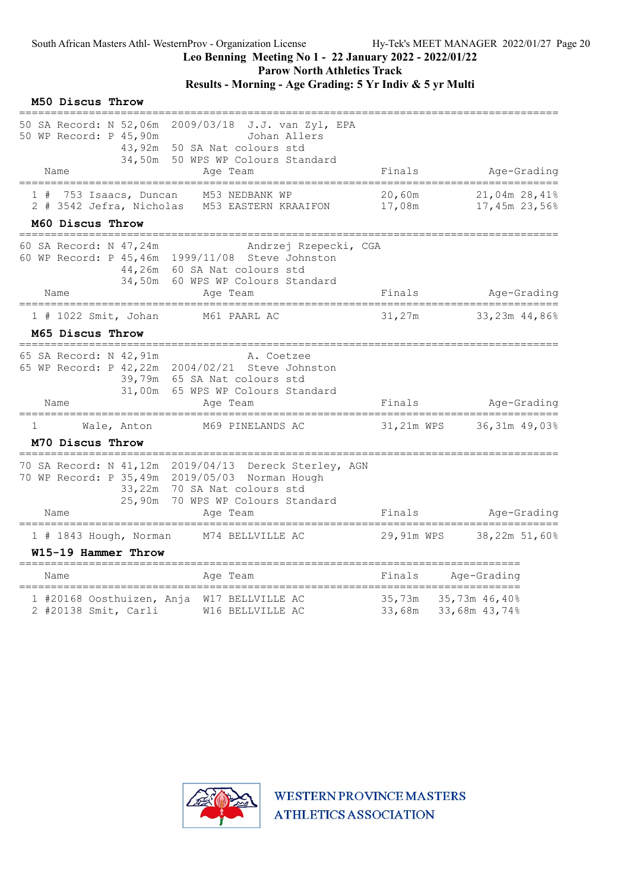Parow North Athletics Track

|   | M50 Discus Throw                        |                                                                      |                                                                                                                                                                                   |                      |                                |
|---|-----------------------------------------|----------------------------------------------------------------------|-----------------------------------------------------------------------------------------------------------------------------------------------------------------------------------|----------------------|--------------------------------|
|   | Name                                    | 50 SA Record: N 52,06m<br>50 WP Record: P 45,90m<br>43,92m<br>34,50m | 2009/03/18<br>J.J. van Zyl, EPA<br>Johan Allers<br>50 SA Nat colours std<br>50 WPS WP Colours Standard<br>Age Team                                                                | Finals               | Age-Grading                    |
|   |                                         | 1 # 753 Isaacs, Duncan                                               | M53 NEDBANK WP<br>2 # 3542 Jefra, Nicholas M53 EASTERN KRAAIFON                                                                                                                   | $20$ , 60m<br>17,08m | 21,04m 28,41%<br>17,45m 23,56% |
|   | M60 Discus Throw                        | -----------------------------                                        |                                                                                                                                                                                   |                      |                                |
|   | Name                                    | 60 SA Record: N 47,24m                                               | Andrzej Rzepecki, CGA<br>60 WP Record: P 45, 46m 1999/11/08 Steve Johnston<br>44,26m 60 SA Nat colours std<br>34,50m 60 WPS WP Colours Standard<br>Age Team                       | Finals               | Age-Grading                    |
|   |                                         | 1 # 1022 Smit, Johan                                                 | M61 PAARL AC                                                                                                                                                                      | 31,27m               | 33,23m 44,86%                  |
|   | M65 Discus Throw                        |                                                                      |                                                                                                                                                                                   |                      |                                |
|   | Name                                    | 65 SA Record: N 42,91m                                               | A. Coetzee<br>65 WP Record: P 42, 22m 2004/02/21 Steve Johnston<br>39,79m 65 SA Nat colours std<br>31,00m 65 WPS WP Colours Standard<br>Age Team                                  | Finals               | Age-Grading                    |
| ı |                                         | Wale, Anton                                                          | M69 PINELANDS AC                                                                                                                                                                  | 31,21m WPS           | 36,31m 49,03%                  |
|   | M70 Discus Throw<br>___________________ |                                                                      |                                                                                                                                                                                   |                      |                                |
|   | Name                                    | 25,90m                                                               | 70 SA Record: N 41,12m 2019/04/13 Dereck Sterley, AGN<br>70 WP Record: P 35,49m 2019/05/03 Norman Hough<br>33,22m 70 SA Nat colours std<br>70 WPS WP Colours Standard<br>Age Team | Finals               | Age-Grading                    |
|   |                                         | 1 # 1843 Hough, Norman                                               | M74 BELLVILLE AC                                                                                                                                                                  | 29,91m WPS           | 38,22m 51,60%                  |
|   |                                         | W15-19 Hammer Throw                                                  |                                                                                                                                                                                   |                      |                                |
|   | Name                                    | =======================                                              | ==========<br>Age Team                                                                                                                                                            | =========<br>Finals  | Age-Grading                    |
|   |                                         | ===============================<br>2 #20138 Smit, Carli              | 1 #20168 Oosthuizen, Anja W17 BELLVILLE AC<br>W16 BELLVILLE AC                                                                                                                    | 35,73m<br>33,68m     | 35,73m 46,40%<br>33,68m 43,74% |

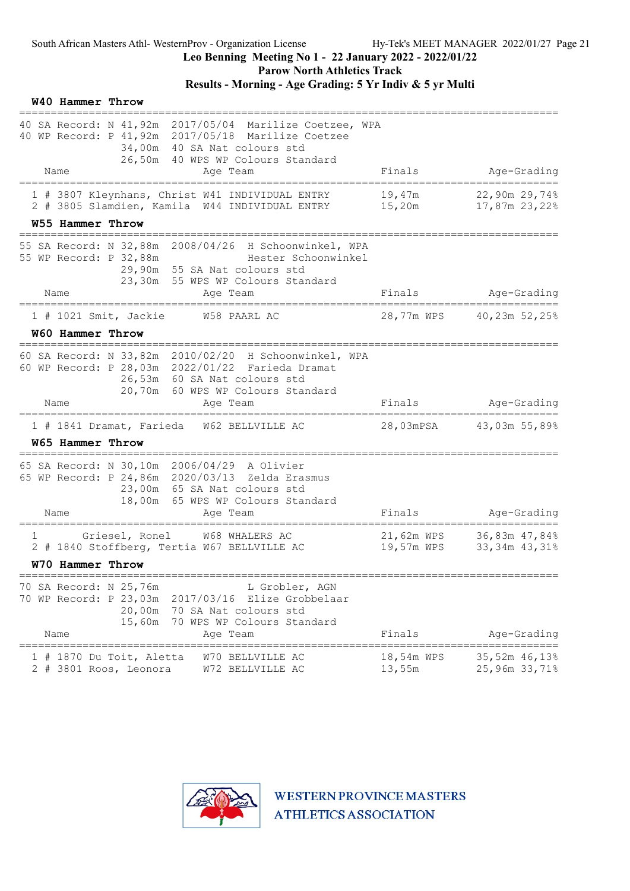Parow North Athletics Track

# Results - Morning - Age Grading: 5 Yr Indiv & 5 yr Multi

|   | W40 Hammer Throw |                                                    |                                                                                                                                                                                     |                                                     |                                          |
|---|------------------|----------------------------------------------------|-------------------------------------------------------------------------------------------------------------------------------------------------------------------------------------|-----------------------------------------------------|------------------------------------------|
|   |                  |                                                    | 40 SA Record: N 41,92m 2017/05/04 Marilize Coetzee, WPA<br>40 WP Record: P 41, 92m 2017/05/18 Marilize Coetzee<br>34,00m 40 SA Nat colours std<br>26,50m 40 WPS WP Colours Standard |                                                     |                                          |
|   | Name             |                                                    | Age Team                                                                                                                                                                            | Finals                                              | Age-Grading                              |
|   |                  |                                                    | 1 # 3807 Kleynhans, Christ W41 INDIVIDUAL ENTRY<br>2 # 3805 Slamdien, Kamila W44 INDIVIDUAL ENTRY                                                                                   | 19,47m<br>15,20m                                    | 22,90m 29,74%<br>17,87m 23,22%           |
|   | W55 Hammer Throw | ==========================                         |                                                                                                                                                                                     |                                                     |                                          |
|   |                  | 55 WP Record: P 32,88m                             | 55 SA Record: N 32,88m 2008/04/26 H Schoonwinkel, WPA<br>Hester Schoonwinkel<br>29,90m 55 SA Nat colours std<br>23,30m 55 WPS WP Colours Standard                                   |                                                     |                                          |
|   | Name             |                                                    | Age Team<br>===================================<br>=======================                                                                                                          | Finals                                              | Age-Grading<br>------------------------- |
|   |                  | 1 # 1021 Smit, Jackie                              | W58 PAARL AC                                                                                                                                                                        |                                                     | 28,77m WPS 40,23m 52,25%                 |
|   | W60 Hammer Throw |                                                    |                                                                                                                                                                                     |                                                     |                                          |
|   |                  |                                                    | 60 SA Record: N 33,82m 2010/02/20 H Schoonwinkel, WPA<br>60 WP Record: P 28,03m 2022/01/22 Farieda Dramat<br>26,53m 60 SA Nat colours std<br>20,70m 60 WPS WP Colours Standard      |                                                     |                                          |
|   | Name             |                                                    | Age Team                                                                                                                                                                            | Finals                                              | Age-Grading                              |
|   |                  |                                                    | 1 # 1841 Dramat, Farieda W62 BELLVILLE AC                                                                                                                                           | 28,03mPSA                                           | 43,03m 55,89%                            |
|   | W65 Hammer Throw |                                                    |                                                                                                                                                                                     |                                                     |                                          |
|   |                  |                                                    | 65 SA Record: N 30,10m 2006/04/29 A Olivier<br>65 WP Record: P 24,86m 2020/03/13 Zelda Erasmus<br>23,00m 65 SA Nat colours std<br>18,00m 65 WPS WP Colours Standard                 |                                                     |                                          |
|   | Name             |                                                    | Age Team                                                                                                                                                                            | Finals                                              | Age-Grading                              |
| ı |                  | Griesel, Ronel                                     | W68 WHALERS AC<br>2 # 1840 Stoffberg, Tertia W67 BELLVILLE AC                                                                                                                       | 21,62m WPS<br>19,57m WPS                            | 36,83m 47,84%<br>33,34m 43,31%           |
|   | W70 Hammer Throw |                                                    |                                                                                                                                                                                     |                                                     |                                          |
|   | Name             | 70 SA Record: N 25,76m<br>20,00m<br>15,60m         | L Grobler, AGN<br>70 WP Record: P 23,03m 2017/03/16 Elize Grobbelaar<br>70 SA Nat colours std<br>70 WPS WP Colours Standard<br>Age Team                                             | Finals                                              | Age-Grading                              |
|   |                  | 1 # 1870 Du Toit, Aletta<br>2 # 3801 Roos, Leonora | W70 BELLVILLE AC<br>W72 BELLVILLE AC                                                                                                                                                | ===========================<br>18,54m WPS<br>13,55m | 35,52m 46,13%<br>25,96m 33,71%           |

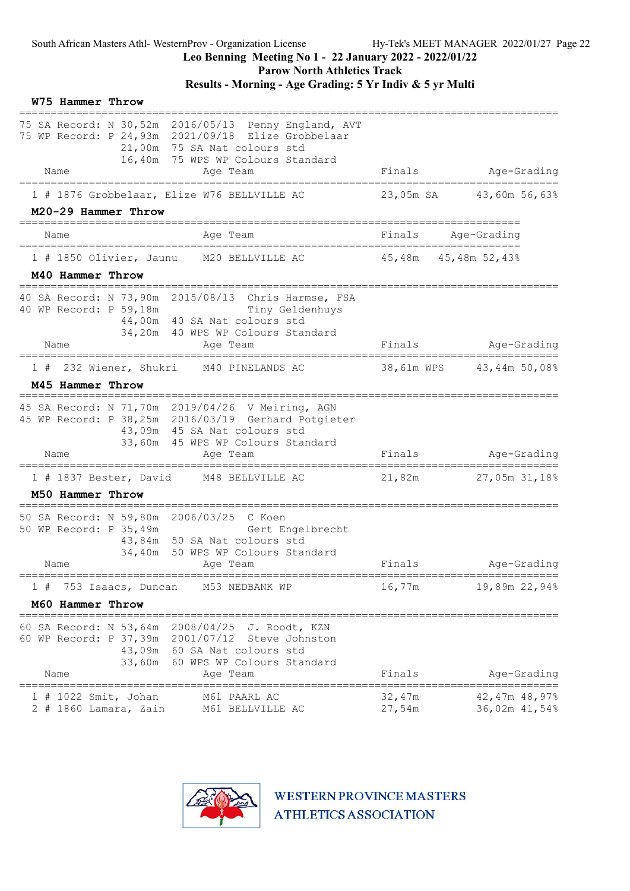Parow North Athletics Track

Results - Morning - Age Grading: 5 Yr Indiv & 5 yr Multi

| W75 Hammer Throw                                                                                                                                                                                                       |                                                    |
|------------------------------------------------------------------------------------------------------------------------------------------------------------------------------------------------------------------------|----------------------------------------------------|
| 75 SA Record: N 30,52m 2016/05/13 Penny England, AVT<br>75 WP Record: P 24,93m 2021/09/18 Elize Grobbelaar<br>21,00m 75 SA Nat colours std<br>16,40m 75 WPS WP Colours Standard                                        |                                                    |
| Name<br>Age Team                                                                                                                                                                                                       | Finals<br>Age-Grading                              |
| 1 # 1876 Grobbelaar, Elize W76 BELLVILLE AC<br>M20-29 Hammer Throw                                                                                                                                                     | 23,05m SA 43,60m 56,63%                            |
| Name<br>Age Team                                                                                                                                                                                                       | Finals<br>Age-Grading                              |
| 1 # 1850 Olivier, Jaunu M20 BELLVILLE AC                                                                                                                                                                               | 45,48m 45,48m 52,43%                               |
| M40 Hammer Throw                                                                                                                                                                                                       |                                                    |
| 40 SA Record: N 73,90m 2015/08/13 Chris Harmse, FSA<br>40 WP Record: P 59,18m<br>Tiny Geldenhuys<br>44,00m 40 SA Nat colours std<br>34,20m 40 WPS WP Colours Standard                                                  | Age-Grading<br>Finals                              |
| Name<br>Age Team<br>=====================================                                                                                                                                                              |                                                    |
| 1 # 232 Wiener, Shukri<br>M40 PINELANDS AC<br>M45 Hammer Throw                                                                                                                                                         | 38,61m WPS 43,44m 50,08%                           |
| ------------------<br>45 SA Record: N 71,70m 2019/04/26 V Meiring, AGN<br>45 WP Record: P 38,25m 2016/03/19 Gerhard Potgieter<br>43,09m 45 SA Nat colours std<br>33,60m 45 WPS WP Colours Standard<br>Name<br>Age Team | Age-Grading<br>Finals                              |
| 1 # 1837 Bester, David M48 BELLVILLE AC                                                                                                                                                                                |                                                    |
| M50 Hammer Throw                                                                                                                                                                                                       | 21,82m<br>27,05m 31,18%                            |
| 50 SA Record: N 59,80m 2006/03/25 C Koen<br>50 WP Record: P 35,49m<br>Gert Engelbrecht<br>43,84m 50 SA Nat colours std<br>34,40m 50 WPS WP Colours Standard<br>Name<br>Age Team                                        | Finals<br>Age-Grading                              |
| 753 Isaacs, Duncan<br>M53 NEDBANK WP<br>1#                                                                                                                                                                             | 16,77m<br>19,89m 22,94%                            |
| M60 Hammer Throw                                                                                                                                                                                                       |                                                    |
| 60 SA Record: N 53,64m 2008/04/25 J. Roodt, KZN<br>60 WP Record: P 37,39m 2001/07/12 Steve Johnston<br>43,09m 60 SA Nat colours std<br>33,60m 60 WPS WP Colours Standard<br>Name<br>Age Team                           | Finals<br>Age-Grading                              |
| 1 # 1022 Smit, Johan<br>M61 PAARL AC<br>$2$ # 1860 Lamara, Zain<br>M61 BELLVILLE AC                                                                                                                                    | 32,47m<br>42,47m 48,97%<br>27,54m<br>36,02m 41,54% |

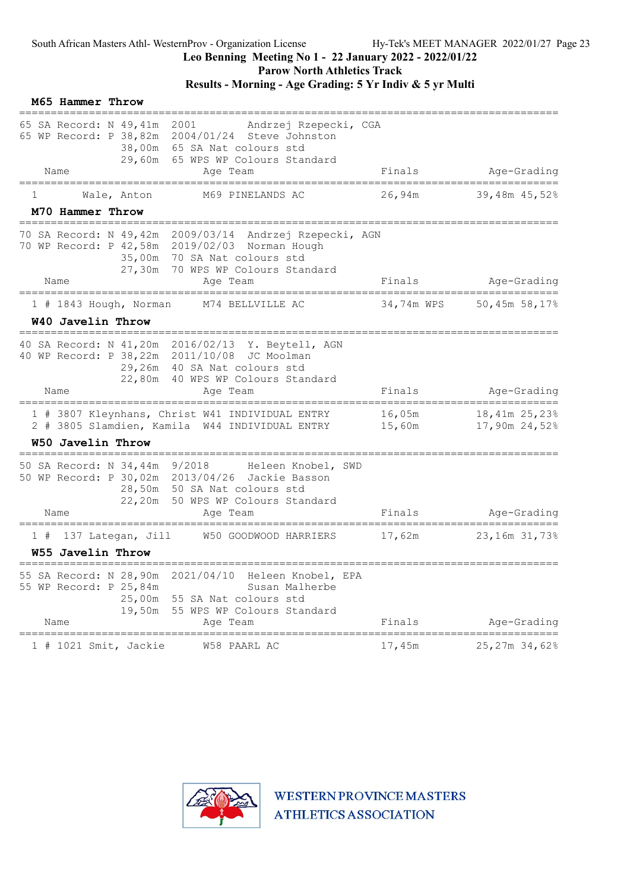# Leo Benning Meeting No 1 - 22 January 2022 - 2022/01/22

Parow North Athletics Track

# Results - Morning - Age Grading: 5 Yr Indiv & 5 yr Multi

|    | M65 Hammer Throw       |                                                                      |                                                                                                                                                                         |                                                  |                                |
|----|------------------------|----------------------------------------------------------------------|-------------------------------------------------------------------------------------------------------------------------------------------------------------------------|--------------------------------------------------|--------------------------------|
|    |                        | 65 SA Record: N 49,41m 2001                                          | Andrzej Rzepecki, CGA<br>65 WP Record: P 38,82m 2004/01/24 Steve Johnston<br>38,00m 65 SA Nat colours std<br>29,60m 65 WPS WP Colours Standard                          |                                                  |                                |
|    | Name<br>============== |                                                                      | Age Team                                                                                                                                                                | Finals<br>====================================== | Age-Grading                    |
| T  |                        | Wale, Anton                                                          | M69 PINELANDS AC                                                                                                                                                        | 26,94m                                           | 39,48m 45,52%                  |
|    | M70 Hammer Throw       |                                                                      |                                                                                                                                                                         |                                                  |                                |
|    |                        | 27,30m                                                               | 70 SA Record: N 49,42m 2009/03/14 Andrzej Rzepecki, AGN<br>70 WP Record: P 42,58m 2019/02/03 Norman Hough<br>35,00m 70 SA Nat colours std<br>70 WPS WP Colours Standard |                                                  |                                |
|    | Name                   |                                                                      | Age Team                                                                                                                                                                | Finals                                           | Age-Grading                    |
|    |                        | $1$ # 1843 Hough, Norman                                             | M74 BELLVILLE AC                                                                                                                                                        | 34,74m WPS                                       | 50,45m 58,17%                  |
|    | W40 Javelin Throw      |                                                                      | =====================================                                                                                                                                   |                                                  |                                |
|    |                        |                                                                      | 40 SA Record: N 41,20m 2016/02/13 Y. Beytell, AGN<br>40 WP Record: P 38,22m 2011/10/08 JC Moolman<br>29,26m 40 SA Nat colours std<br>22,80m 40 WPS WP Colours Standard  |                                                  |                                |
|    | Name                   |                                                                      | Age Team                                                                                                                                                                | Finals                                           | Age-Grading                    |
|    |                        |                                                                      | 1 # 3807 Kleynhans, Christ W41 INDIVIDUAL ENTRY<br>2 # 3805 Slamdien, Kamila W44 INDIVIDUAL ENTRY                                                                       | 16,05m<br>15,60m                                 | 18,41m 25,23%<br>17,90m 24,52% |
|    | W50 Javelin Throw      |                                                                      |                                                                                                                                                                         |                                                  |                                |
|    |                        | 50 SA Record: N 34,44m 9/2018                                        | Heleen Knobel, SWD<br>50 WP Record: P 30,02m 2013/04/26 Jackie Basson<br>28,50m 50 SA Nat colours std<br>22,20m 50 WPS WP Colours Standard                              |                                                  |                                |
|    | Name                   |                                                                      | Age Team                                                                                                                                                                | Finals                                           | Age-Grading                    |
| 1# |                        | 137 Lategan, Jill                                                    | W50 GOODWOOD HARRIERS                                                                                                                                                   | 17,62m                                           | 23,16m 31,73%                  |
|    | W55 Javelin Throw      |                                                                      |                                                                                                                                                                         |                                                  |                                |
|    |                        | 55 SA Record: N 28,90m<br>55 WP Record: P 25,84m<br>25,00m<br>19,50m | 2021/04/10<br>Heleen Knobel, EPA<br>Susan Malherbe<br>55 SA Nat colours std<br>55 WPS WP Colours Standard                                                               |                                                  |                                |
|    | Name                   |                                                                      | Age Team                                                                                                                                                                | Finals<br>====================================== | Age-Grading                    |
|    |                        | 1 # 1021 Smit, Jackie                                                | W58 PAARL AC                                                                                                                                                            | 17,45m                                           | 25,27m 34,62%                  |

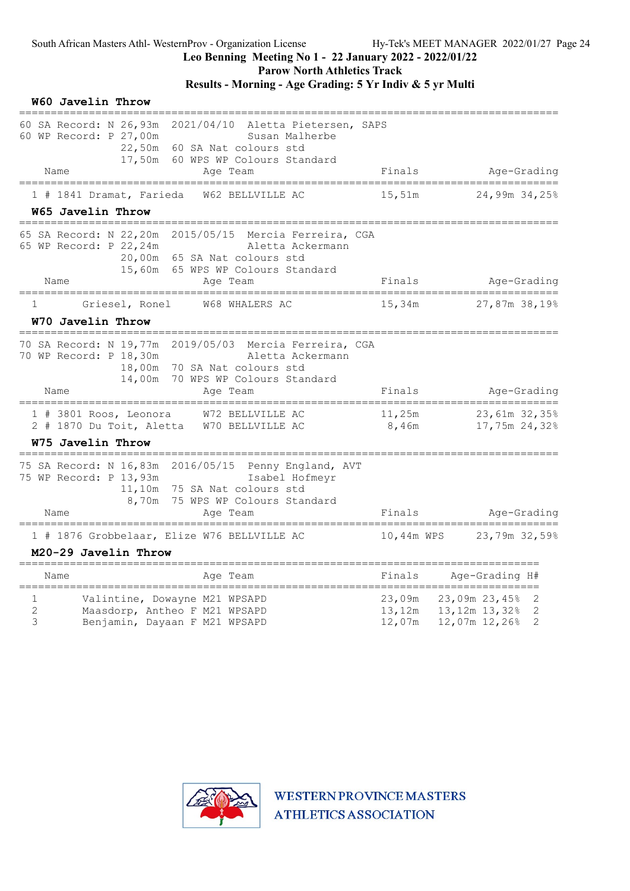Parow North Athletics Track

### Results - Morning - Age Grading: 5 Yr Indiv & 5 yr Multi

|             | W60 Javelin Throw                                                                                                                                                                                         |                            |                                                                                                        |
|-------------|-----------------------------------------------------------------------------------------------------------------------------------------------------------------------------------------------------------|----------------------------|--------------------------------------------------------------------------------------------------------|
|             | 60 SA Record: N 26,93m<br>2021/04/10<br>Aletta Pietersen, SAPS<br>60 WP Record: P 27,00m<br>Susan Malherbe<br>22,50m<br>60 SA Nat colours std<br>17,50m<br>60 WPS WP Colours Standard                     |                            |                                                                                                        |
|             | Name<br>Age Team                                                                                                                                                                                          | Finals                     | Age-Grading                                                                                            |
|             | 1 # 1841 Dramat, Farieda<br>W62 BELLVILLE AC<br>W65 Javelin Throw                                                                                                                                         | 15,51m                     | 24,99m 34,25%                                                                                          |
|             | 65 SA Record: N 22,20m<br>2015/05/15 Mercia Ferreira, CGA<br>65 WP Record: P 22, 24m<br>Aletta Ackermann<br>20,00m<br>65 SA Nat colours std<br>15,60m 65 WPS WP Colours Standard                          |                            |                                                                                                        |
|             | Name<br>Age Team                                                                                                                                                                                          | Finals                     | Age-Grading                                                                                            |
| 1           | Griesel, Ronel<br>W68 WHALERS AC                                                                                                                                                                          | 15,34m                     | 27,87m 38,19%                                                                                          |
|             | W70 Javelin Throw                                                                                                                                                                                         |                            |                                                                                                        |
|             | 2019/05/03<br>70 SA Record: N 19,77m<br>Mercia Ferreira, CGA<br>70 WP Record: P 18,30m<br>Aletta Ackermann<br>18,00m<br>70 SA Nat colours std<br>14,00m<br>70 WPS WP Colours Standard<br>Name<br>Age Team | Finals                     | Age-Grading                                                                                            |
|             | ==============<br>===========<br>W72 BELLVILLE AC<br>1 # 3801 Roos, Leonora<br>W70 BELLVILLE AC<br>2 # 1870 Du Toit, Aletta                                                                               | 11,25m<br>8,46m            | 23,61m 32,35%<br>17,75m 24,32%                                                                         |
|             | W75 Javelin Throw                                                                                                                                                                                         |                            |                                                                                                        |
|             | 75 SA Record: N 16,83m 2016/05/15 Penny England, AVT<br>75 WP Record: P 13,93m<br>Isabel Hofmeyr<br>11,10m 75 SA Nat colours std<br>8,70m<br>75 WPS WP Colours Standard<br>Name<br>Ace Team               | Finals                     | Age-Grading                                                                                            |
|             | 1 # 1876 Grobbelaar, Elize W76 BELLVILLE AC                                                                                                                                                               | 10,44m WPS                 | 23,79m 32,59%                                                                                          |
|             | M20-29 Javelin Throw                                                                                                                                                                                      |                            |                                                                                                        |
|             | Age Team<br>Name                                                                                                                                                                                          | Finals                     | Age-Grading H#                                                                                         |
| 1<br>2<br>3 | _____________________<br>============<br>Valintine, Dowayne M21 WPSAPD<br>Maasdorp, Antheo F M21 WPSAPD<br>Benjamin, Dayaan F M21 WPSAPD                                                                  | 23,09m<br>13,12m<br>12,07m | ====================================<br>23,09m 23,45%<br>2<br>13,12m 13,32%<br>2<br>2<br>12,07m 12,26% |

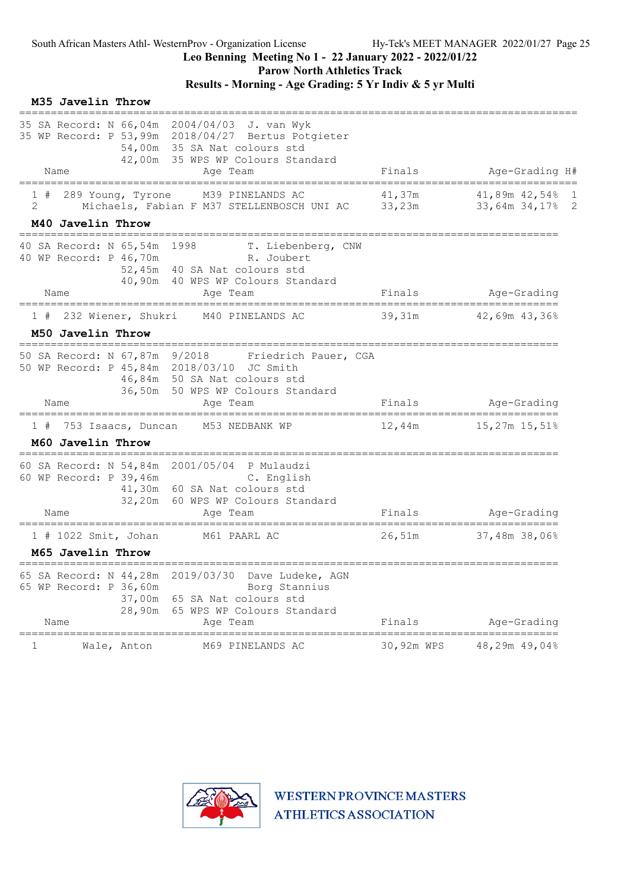Parow North Athletics Track

## Results - Morning - Age Grading: 5 Yr Indiv & 5 yr Multi

|         | M35 Javelin Throw                                                            |                                                                                                                                                                                     |            |                                                 |
|---------|------------------------------------------------------------------------------|-------------------------------------------------------------------------------------------------------------------------------------------------------------------------------------|------------|-------------------------------------------------|
|         | Name                                                                         | 35 SA Record: N 66,04m 2004/04/03 J. van Wyk<br>35 WP Record: P 53,99m 2018/04/27 Bertus Potgieter<br>54,00m 35 SA Nat colours std<br>42,00m 35 WPS WP Colours Standard<br>Age Team | Finals     | Age-Grading H#                                  |
|         | =====================                                                        |                                                                                                                                                                                     |            |                                                 |
| 1#<br>2 | 289 Young, Tyrone                                                            | M39 PINELANDS AC<br>Michaels, Fabian F M37 STELLENBOSCH UNI AC 33,23m                                                                                                               | 41,37m     | 41,89m 42,54% 1<br>33,64m 34,17% 2              |
|         | M40 Javelin Throw                                                            |                                                                                                                                                                                     |            |                                                 |
|         | 40 SA Record: N 65,54m 1998<br>40 WP Record: P 46,70m<br>Name                | T. Liebenberg, CNW<br>R. Joubert<br>52,45m 40 SA Nat colours std<br>40,90m 40 WPS WP Colours Standard                                                                               | Finals     | Age-Grading                                     |
|         | ======================================                                       | Age Team<br>========================                                                                                                                                                |            | ======================                          |
| 1#      | 232 Wiener, Shukri                                                           | M40 PINELANDS AC                                                                                                                                                                    | 39,31m     | 42,69m 43,36%                                   |
|         | M50 Javelin Throw                                                            |                                                                                                                                                                                     |            |                                                 |
|         | 50 SA Record: N 67,87m 9/2018<br>Name                                        | Friedrich Pauer, CGA<br>50 WP Record: P 45,84m 2018/03/10 JC Smith<br>46,84m 50 SA Nat colours std<br>36,50m 50 WPS WP Colours Standard<br>Age Team                                 | Finals     | Age-Grading                                     |
|         |                                                                              |                                                                                                                                                                                     |            |                                                 |
| 1#      |                                                                              | 753 Isaacs, Duncan M53 NEDBANK WP                                                                                                                                                   | 12,44m     | 15,27m 15,51%                                   |
|         | M60 Javelin Throw                                                            |                                                                                                                                                                                     |            |                                                 |
|         | 60 WP Record: P 39,46m                                                       | 60 SA Record: N 54,84m 2001/05/04 P Mulaudzi<br>C. English<br>41,30m 60 SA Nat colours std<br>32,20m 60 WPS WP Colours Standard                                                     |            |                                                 |
|         | Name                                                                         | Age Team                                                                                                                                                                            | Finals     | Age-Grading                                     |
|         | $1$ # 1022 Smit, Johan                                                       | M61 PAARL AC                                                                                                                                                                        | 26,51m     | 37,48m 38,06%                                   |
|         | M65 Javelin Throw                                                            |                                                                                                                                                                                     |            |                                                 |
|         | 65 SA Record: N 44,28m<br>65 WP Record: P 36,60m<br>37,00m<br>28,90m<br>Name | 2019/03/30<br>Dave Ludeke, AGN<br>Borg Stannius<br>65 SA Nat colours std<br>65 WPS WP Colours Standard<br>Age Team                                                                  | Finals     | Age-Grading                                     |
| 1       | ====================<br>Wale, Anton                                          | M69 PINELANDS AC                                                                                                                                                                    | 30,92m WPS | ______________________________<br>48,29m 49,04% |

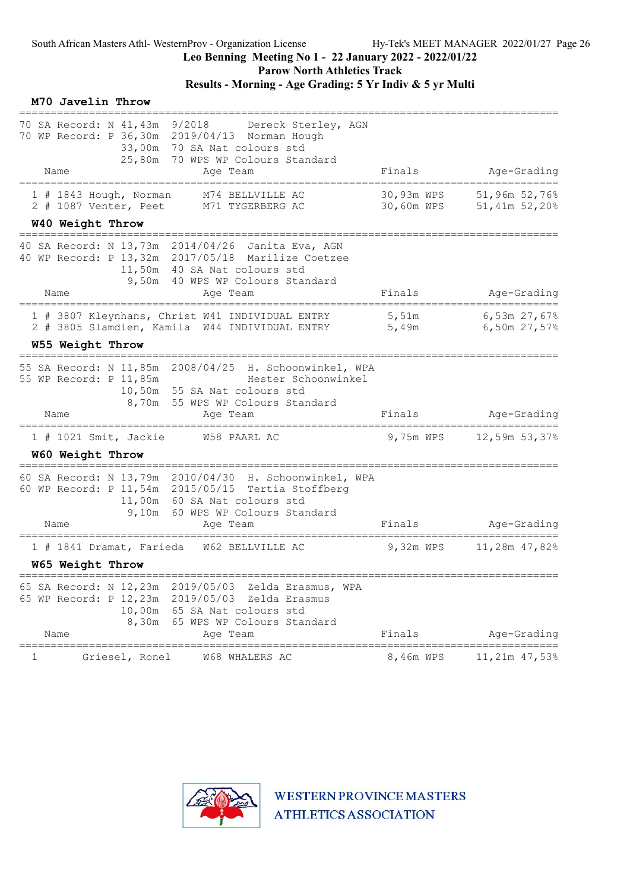Parow North Athletics Track

# Results - Morning - Age Grading: 5 Yr Indiv & 5 yr Multi

| M70 Javelin Throw                                                                                                                                                                                     |                          |                                                     |
|-------------------------------------------------------------------------------------------------------------------------------------------------------------------------------------------------------|--------------------------|-----------------------------------------------------|
| 70 SA Record: N 41,43m 9/2018<br>Dereck Sterley, AGN<br>70 WP Record: P 36,30m 2019/04/13 Norman Hough<br>33,00m 70 SA Nat colours std<br>25,80m 70 WPS WP Colours Standard<br>Age Team<br>Name       | Finals                   | Age-Grading                                         |
| =======================<br>============<br>1 # 1843 Hough, Norman<br>M74 BELLVILLE AC<br>M71 TYGERBERG AC<br>2 # 1087 Venter, Peet                                                                    | 30,93m WPS<br>30,60m WPS | 51,96m 52,76%<br>51,41m 52,20%                      |
| W40 Weight Throw<br>-----------------------------                                                                                                                                                     |                          |                                                     |
| 40 SA Record: N 13,73m 2014/04/26 Janita Eva, AGN<br>40 WP Record: P 13,32m 2017/05/18 Marilize Coetzee<br>11,50m 40 SA Nat colours std<br>9,50m 40 WPS WP Colours Standard<br>Name<br>Age Team       | Finals                   | Age-Grading                                         |
| .=======================<br>====================================<br>1 # 3807 Kleynhans, Christ W41 INDIVIDUAL ENTRY<br>2 # 3805 Slamdien, Kamila W44 INDIVIDUAL ENTRY 5,49m                           | 5,51m                    | -------------------<br>6,53m 27,67%<br>6,50m 27,57% |
| W55 Weight Throw                                                                                                                                                                                      |                          |                                                     |
| 55 SA Record: N 11,85m 2008/04/25 H. Schoonwinkel, WPA<br>55 WP Record: P 11,85m<br>Hester Schoonwinkel<br>10,50m 55 SA Nat colours std<br>8,70m 55 WPS WP Colours Standard<br>Name<br>Age Team       | Finals                   | Age-Grading                                         |
|                                                                                                                                                                                                       |                          |                                                     |
| 1 # 1021 Smit, Jackie<br>W58 PAARL AC<br>W60 Weight Throw                                                                                                                                             | 9,75m WPS                | 12,59m 53,37%                                       |
| 60 SA Record: N 13,79m 2010/04/30 H. Schoonwinkel, WPA<br>60 WP Record: P 11,54m 2015/05/15 Tertia Stoffberg<br>11,00m 60 SA Nat colours std<br>9,10m 60 WPS WP Colours Standard<br>Name<br>Age Team  | Finals                   | Age-Grading                                         |
| 1 # 1841 Dramat, Farieda<br>W62 BELLVILLE AC                                                                                                                                                          | 9,32m WPS                | 11,28m 47,82%                                       |
| W65 Weight Throw                                                                                                                                                                                      |                          |                                                     |
| 65 SA Record: N 12,23m 2019/05/03<br>Zelda Erasmus, WPA<br>65 WP Record: P 12,23m 2019/05/03<br>Zelda Erasmus<br>10,00m 65 SA Nat colours std<br>8,30m 65 WPS WP Colours Standard<br>Name<br>Age Team | Finals                   | Age-Grading                                         |
| =========<br>Griesel, Ronel<br>W68 WHALERS AC<br>ı                                                                                                                                                    | 8,46m WPS                | ======<br>11,21m 47,53%                             |

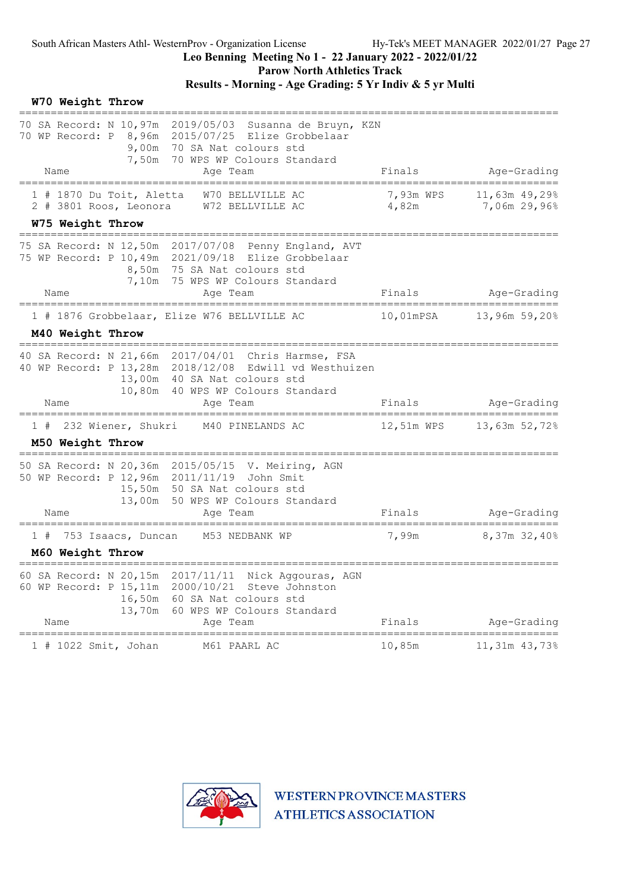Parow North Athletics Track

|    | W70 Weight Throw       |                                                                       |                                                                                                                                                                                           |                                      |                                           |
|----|------------------------|-----------------------------------------------------------------------|-------------------------------------------------------------------------------------------------------------------------------------------------------------------------------------------|--------------------------------------|-------------------------------------------|
|    |                        |                                                                       | 70 SA Record: N 10,97m 2019/05/03 Susanna de Bruyn, KZN<br>70 WP Record: P 8,96m 2015/07/25 Elize Grobbelaar<br>9,00m 70 SA Nat colours std<br>7,50m 70 WPS WP Colours Standard           |                                      |                                           |
|    | Name                   | =======================                                               | Age Team                                                                                                                                                                                  | Finals                               | Age-Grading<br>========================== |
|    |                        | 1 # 1870 Du Toit, Aletta<br>2 # 3801 Roos, Leonora                    | W70 BELLVILLE AC<br>W72 BELLVILLE AC                                                                                                                                                      | 7,93m WPS<br>4,82m                   | 11,63m 49,29%<br>7,06m 29,96%             |
|    | W75 Weight Throw       | ;=========================                                            |                                                                                                                                                                                           |                                      |                                           |
|    | Name                   |                                                                       | 75 SA Record: N 12,50m 2017/07/08 Penny England, AVT<br>75 WP Record: P 10,49m 2021/09/18 Elize Grobbelaar<br>8,50m 75 SA Nat colours std<br>7,10m 75 WPS WP Colours Standard<br>Age Team | Finals                               | Age-Grading                               |
|    |                        | ================================                                      | ======================                                                                                                                                                                    |                                      | :==============                           |
|    |                        |                                                                       | 1 # 1876 Grobbelaar, Elize W76 BELLVILLE AC                                                                                                                                               |                                      | 10,01mPSA 13,96m 59,20%                   |
|    | M40 Weight Throw       |                                                                       |                                                                                                                                                                                           |                                      |                                           |
|    |                        |                                                                       | 40 SA Record: N 21,66m 2017/04/01 Chris Harmse, FSA<br>40 WP Record: P 13,28m 2018/12/08 Edwill vd Westhuizen<br>13,00m 40 SA Nat colours std<br>10,80m 40 WPS WP Colours Standard        |                                      |                                           |
|    | Name                   |                                                                       | Age Team                                                                                                                                                                                  | Finals                               | Age-Grading                               |
|    |                        |                                                                       | 1 # 232 Wiener, Shukri M40 PINELANDS AC                                                                                                                                                   | 12,51m WPS                           | 13,63m 52,72%                             |
|    | M50 Weight Throw       |                                                                       |                                                                                                                                                                                           |                                      |                                           |
|    |                        |                                                                       | 50 SA Record: N 20,36m 2015/05/15 V. Meiring, AGN<br>50 WP Record: P 12,96m 2011/11/19 John Smit<br>15,50m 50 SA Nat colours std<br>13,00m 50 WPS WP Colours Standard                     |                                      |                                           |
|    | Name                   |                                                                       | Age Team                                                                                                                                                                                  | Finals                               | Age-Grading                               |
| 1# |                        | 753 Isaacs, Duncan                                                    | M53 NEDBANK WP                                                                                                                                                                            | 7,99m                                | 8,37m 32,40%                              |
|    | M60 Weight Throw       |                                                                       |                                                                                                                                                                                           |                                      |                                           |
|    | Name                   | 60 SA Record: N 20,15m<br>60 WP Record: P 15, 11m<br>16,50m<br>13,70m | Nick Aggouras, AGN<br>2017/11/11<br>2000/10/21<br>Steve Johnston<br>60 SA Nat colours std<br>60 WPS WP Colours Standard<br>Age Team                                                       | Finals                               | Age-Grading                               |
|    | ====================== | 1 # 1022 Smit, Johan                                                  | M61 PAARL AC                                                                                                                                                                              | ==========================<br>10,85m | 11,31m 43,73%                             |

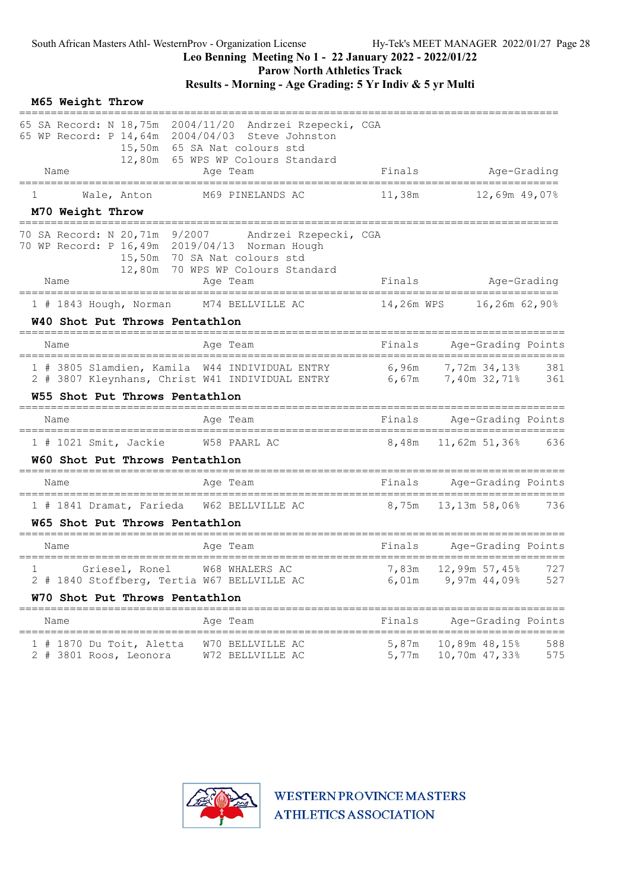Parow North Athletics Track

# Results - Morning - Age Grading: 5 Yr Indiv & 5 yr Multi

|   | M65 Weight Throw<br>================= |                                                    |                                                                                                                                                                                  |                                   |                                                           |              |                                           |
|---|---------------------------------------|----------------------------------------------------|----------------------------------------------------------------------------------------------------------------------------------------------------------------------------------|-----------------------------------|-----------------------------------------------------------|--------------|-------------------------------------------|
|   |                                       |                                                    | 65 SA Record: N 18,75m 2004/11/20 Andrzei Rzepecki, CGA<br>65 WP Record: P 14,64m 2004/04/03 Steve Johnston<br>15,50m 65 SA Nat colours std<br>12,80m 65 WPS WP Colours Standard |                                   |                                                           |              |                                           |
|   | Name                                  |                                                    | Age Team                                                                                                                                                                         | Finals                            |                                                           | Age-Grading  |                                           |
| 1 | M70 Weight Throw                      | Wale, Anton                                        | M69 PINELANDS AC                                                                                                                                                                 |                                   |                                                           |              |                                           |
|   |                                       | =======================                            | 70 SA Record: N 20,71m 9/2007 Andrzei Rzepecki, CGA<br>70 WP Record: P 16,49m 2019/04/13 Norman Hough<br>15,50m 70 SA Nat colours std<br>12,80m 70 WPS WP Colours Standard       |                                   |                                                           |              |                                           |
|   | Name                                  |                                                    | Age Team                                                                                                                                                                         | Finals                            | Age-Grading                                               |              |                                           |
|   |                                       |                                                    | 1 # 1843 Hough, Norman M74 BELLVILLE AC                                                                                                                                          |                                   |                                                           |              |                                           |
|   |                                       | W40 Shot Put Throws Pentathlon                     |                                                                                                                                                                                  |                                   |                                                           |              |                                           |
|   | Name                                  |                                                    | Age Team                                                                                                                                                                         | Finals                            |                                                           |              | Age-Grading Points                        |
|   |                                       | W55 Shot Put Throws Pentathlon                     | 1 # 3805 Slamdien, Kamila W44 INDIVIDUAL ENTRY 6,96m 7,72m 34,13% 381<br>2 # 3807 Kleynhans, Christ W41 INDIVIDUAL ENTRY 6,67m 7,40m 32,71% 361                                  |                                   |                                                           |              |                                           |
|   | Name                                  |                                                    | Age Team                                                                                                                                                                         |                                   | Finals Age-Grading Points                                 |              |                                           |
|   |                                       | 1 # 1021 Smit, Jackie W58 PAARL AC                 |                                                                                                                                                                                  |                                   | 8,48m 11,62m 51,36% 636                                   |              |                                           |
|   |                                       | W60 Shot Put Throws Pentathlon                     |                                                                                                                                                                                  |                                   |                                                           |              |                                           |
|   | Name                                  |                                                    | Age Team                                                                                                                                                                         |                                   | Finals Age-Grading Points                                 |              |                                           |
|   |                                       |                                                    | 1 # 1841 Dramat, Farieda W62 BELLVILLE AC                                                                                                                                        |                                   |                                                           |              |                                           |
|   |                                       | W65 Shot Put Throws Pentathlon                     |                                                                                                                                                                                  |                                   |                                                           |              |                                           |
|   | Name                                  |                                                    | Age Team                                                                                                                                                                         |                                   | Finals Age-Grading Points                                 |              |                                           |
|   |                                       | W70 Shot Put Throws Pentathlon                     | 1 Griesel, Ronel W68 WHALERS AC 7,83m 12,99m 57,45% 727<br>2 # 1840 Stoffberg, Tertia W67 BELLVILLE AC                                                                           | 6,01m                             |                                                           | 9,97m 44,09% | 527                                       |
|   | Name                                  | ====================================               | Age Team                                                                                                                                                                         | =======================<br>Finals |                                                           |              | ===================<br>Age-Grading Points |
|   |                                       | 1 # 1870 Du Toit, Aletta<br>2 # 3801 Roos, Leonora | W70 BELLVILLE AC<br>W72 BELLVILLE AC                                                                                                                                             | 5,87m<br>5,77m                    | =======================<br>10,89m 48,15%<br>10,70m 47,33% |              | ===<br>588<br>575                         |

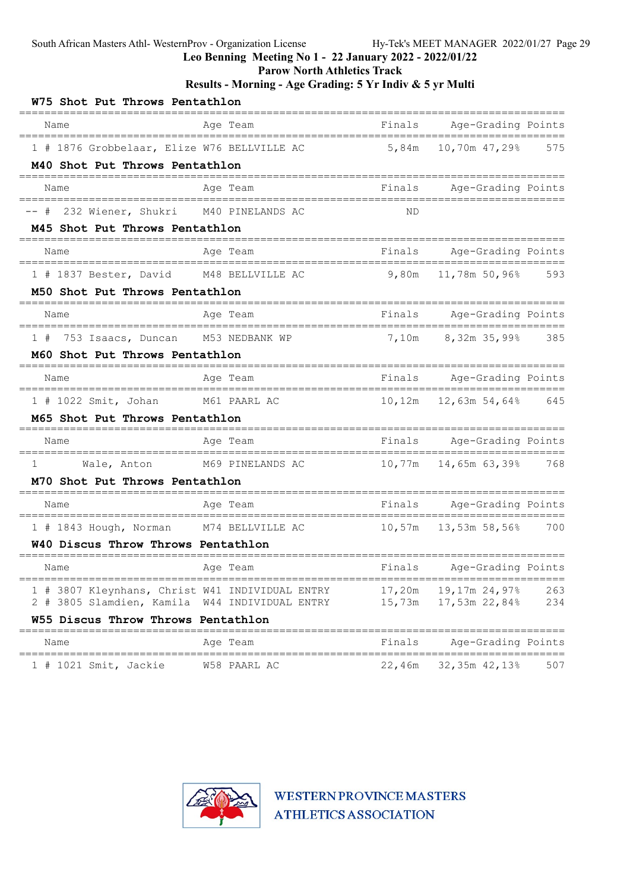Leo Benning Meeting No 1 - 22 January 2022 - 2022/01/22

Parow North Athletics Track

### Results - Morning - Age Grading: 5 Yr Indiv & 5 yr Multi

| W75 Shot Put Throws Pentathlon                                                                    |                                      |        |                                                      |            |
|---------------------------------------------------------------------------------------------------|--------------------------------------|--------|------------------------------------------------------|------------|
| Name                                                                                              | Age Team<br>-------------------      | Finals | Age-Grading Points<br>--------                       |            |
| 1 # 1876 Grobbelaar, Elize W76 BELLVILLE AC<br>M40 Shot Put Throws Pentathlon                     |                                      | 5,84m  | 10,70m 47,29% 575                                    |            |
| Name                                                                                              | Age Team                             | Finals | Age-Grading Points                                   |            |
| 232 Wiener, Shukri M40 PINELANDS AC<br>-- #                                                       |                                      | ΝD     |                                                      |            |
| M45 Shot Put Throws Pentathlon                                                                    |                                      |        |                                                      |            |
| Name                                                                                              | Age Team                             |        | Finals Age-Grading Points                            |            |
| 1 # 1837 Bester, David M48 BELLVILLE AC                                                           |                                      | 9,80m  | 11,78m 50,96% 593                                    |            |
| M50 Shot Put Throws Pentathlon                                                                    |                                      |        |                                                      |            |
| Name<br>-----------------------------------                                                       | Age Team<br>======================   |        | Finals Age-Grading Points<br>======================= |            |
| 753 Isaacs, Duncan M53 NEDBANK WP<br>1#                                                           |                                      | 7,10m  | 8,32m 35,99% 385                                     |            |
| M60 Shot Put Throws Pentathlon                                                                    |                                      |        |                                                      |            |
| Name<br>___________________________________                                                       | Age Team<br>======================== |        | Finals Age-Grading Points<br>======================= |            |
| 1 # 1022 Smit, Johan M61 PAARL AC                                                                 |                                      |        | 10,12m  12,63m  54,64%  645                          |            |
| M65 Shot Put Throws Pentathlon                                                                    |                                      |        |                                                      |            |
| Name                                                                                              | Age Team                             |        | Finals Age-Grading Points<br>=======                 |            |
| Wale, Anton M69 PINELANDS AC<br>$\mathbf{1}$                                                      |                                      |        | 10,77m 14,65m 63,39% 768                             |            |
| M70 Shot Put Throws Pentathlon                                                                    |                                      |        |                                                      |            |
| Name                                                                                              | Age Team<br>--------------           |        | Finals Age-Grading Points<br>=====<br>======         |            |
| 1 # 1843 Hough, Norman M74 BELLVILLE AC                                                           |                                      |        | 10,57m  13,53m  58,56%  700                          |            |
| W40 Discus Throw Throws Pentathlon                                                                |                                      |        |                                                      |            |
| Name                                                                                              | Age Team                             |        | Finals Age-Grading Points                            |            |
| 1 # 3807 Kleynhans, Christ W41 INDIVIDUAL ENTRY<br>2 # 3805 Slamdien, Kamila W44 INDIVIDUAL ENTRY |                                      |        |                                                      | 263<br>234 |
| W55 Discus Throw Throws Pentathlon                                                                |                                      |        |                                                      |            |
| Name                                                                                              | Age Team                             |        | Finals Age-Grading Points                            |            |
| $1$ # 1021 Smit, Jackie                                                                           | W58 PAARL AC                         | 22,46m | 32,35m 42,13%                                        | 507        |

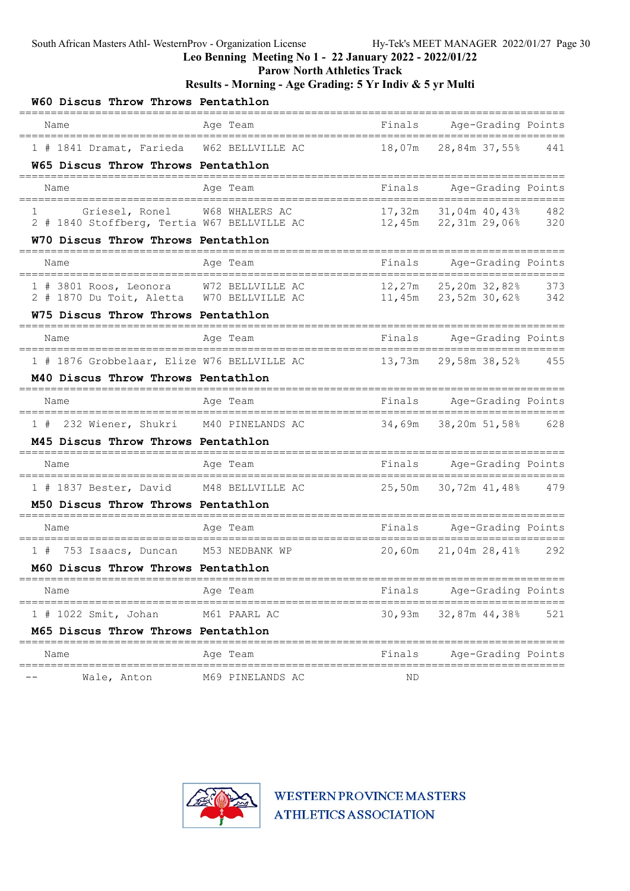Leo Benning Meeting No 1 - 22 January 2022 - 2022/01/22

Parow North Athletics Track

Results - Morning - Age Grading: 5 Yr Indiv & 5 yr Multi

| W60 Discus Throw Throws Pentathlon                                                                |                  |        |                                                        |     |
|---------------------------------------------------------------------------------------------------|------------------|--------|--------------------------------------------------------|-----|
| Name                                                                                              | Age Team         |        | Finals Age-Grading Points                              |     |
| ===============================<br>1 # 1841 Dramat, Farieda W62 BELLVILLE AC                      |                  |        | 18,07m 28,84m 37,55% 441                               |     |
| W65 Discus Throw Throws Pentathlon                                                                |                  |        |                                                        |     |
| Name<br>-------------------------------                                                           | Age Team         |        | Finals Age-Grading Points                              |     |
| Griesel, Ronel W68 WHALERS AC<br>$1 \qquad \qquad$<br>2 # 1840 Stoffberg, Tertia W67 BELLVILLE AC |                  |        | 17,32m 31,04m 40,43% 482<br>12,45m 22,31m 29,06%       | 320 |
| W70 Discus Throw Throws Pentathlon                                                                |                  |        |                                                        |     |
| Name                                                                                              | Age Team         |        | Finals Age-Grading Points                              |     |
| 1 # 3801 Roos, Leonora W72 BELLVILLE AC<br>2 # 1870 Du Toit, Aletta W70 BELLVILLE AC              |                  |        | 12,27m 25,20m 32,82% 373<br>$11,45m$ $23,52m$ $30,628$ | 342 |
| W75 Discus Throw Throws Pentathlon                                                                |                  |        |                                                        |     |
| Name                                                                                              | Age Team         |        | Finals Age-Grading Points                              |     |
| 1 # 1876 Grobbelaar, Elize W76 BELLVILLE AC                                                       |                  |        | 13,73m 29,58m 38,52% 455                               |     |
| M40 Discus Throw Throws Pentathlon                                                                |                  |        |                                                        |     |
| Name                                                                                              | Age Team         | Finals | Age-Grading Points                                     |     |
| 1 # 232 Wiener, Shukri M40 PINELANDS AC                                                           |                  |        | 34,69m 38,20m 51,58% 628                               |     |
| M45 Discus Throw Throws Pentathlon                                                                |                  |        |                                                        |     |
| Name                                                                                              | Age Team         | Finals | Age-Grading Points                                     |     |
| 1 # 1837 Bester, David M48 BELLVILLE AC                                                           |                  |        | 25,50m 30,72m 41,48% 479                               |     |
| M50 Discus Throw Throws Pentathlon                                                                |                  |        |                                                        |     |
| Name                                                                                              | Age Team         | Finals | Age-Grading Points                                     |     |
| 1 # 753 Isaacs, Duncan M53 NEDBANK WP                                                             |                  | 20,60m | 21,04m 28,41%                                          | 292 |
| M60 Discus Throw Throws Pentathlon                                                                |                  |        |                                                        |     |
| Name                                                                                              | Age Team         | Finals | Age-Grading Points                                     |     |
| $1$ # 1022 Smit, Johan                                                                            | M61 PAARL AC     |        | 30,93m 32,87m 44,38%                                   | 521 |
| M65 Discus Throw Throws Pentathlon                                                                |                  |        |                                                        |     |
| Name                                                                                              | Age Team         | Finals | Age-Grading Points                                     |     |
| Wale, Anton                                                                                       | M69 PINELANDS AC | ND     |                                                        |     |

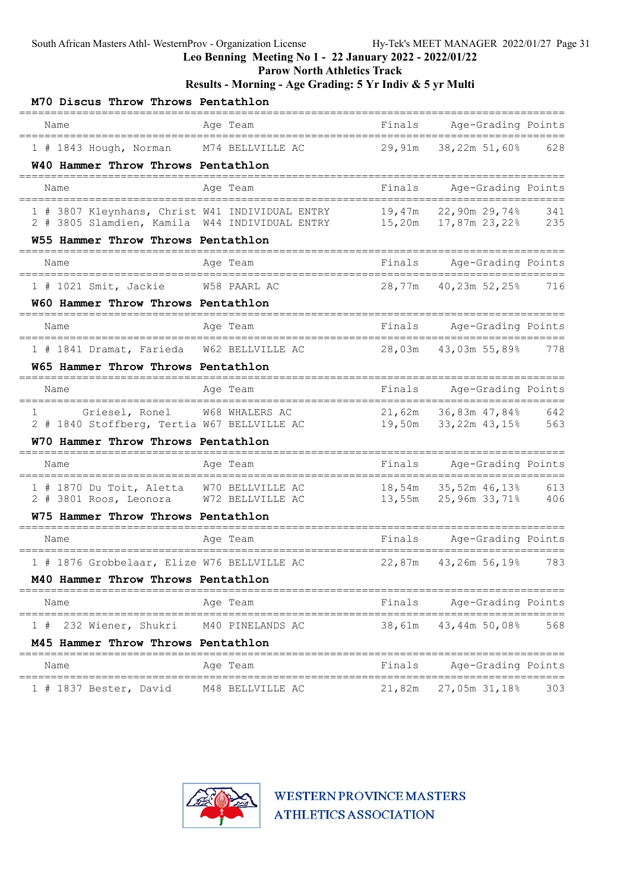Leo Benning Meeting No 1 - 22 January 2022 - 2022/01/22

Parow North Athletics Track

Results - Morning - Age Grading: 5 Yr Indiv & 5 yr Multi

| M70 Discus Throw Throws Pentathlon                       |                                                                                                                                                     |        |                                                |     |
|----------------------------------------------------------|-----------------------------------------------------------------------------------------------------------------------------------------------------|--------|------------------------------------------------|-----|
| Name                                                     | Age Team<br>_______________                                                                                                                         | Finals | Age-Grading Points<br>------------------------ |     |
| 1 # 1843 Hough, Norman                                   | M74 BELLVILLE AC                                                                                                                                    | 29,91m | 38,22m 51,60%                                  | 628 |
| W40 Hammer Throw Throws Pentathlon                       |                                                                                                                                                     |        |                                                |     |
| Name                                                     | Aqe Team                                                                                                                                            | Finals | Age-Grading Points                             |     |
| 1 # 3807 Kleynhans, Christ W41 INDIVIDUAL ENTRY          | 1 # 3807 Kleynhans, Christ W41 INDIVIDUAL ENTRY 19,47m 22,90m 29,74% 341<br>2 # 3805 Slamdien, Kamila W44 INDIVIDUAL ENTRY 15,20m 17,87m 23,22% 235 |        | 19,47m 22,90m 29,74%                           | 341 |
| W55 Hammer Throw Throws Pentathlon                       |                                                                                                                                                     |        |                                                |     |
|                                                          |                                                                                                                                                     |        |                                                |     |
| Name                                                     | Age Team                                                                                                                                            | Finals | Age-Grading Points                             |     |
| 1 # 1021 Smit, Jackie W58 PAARL AC                       |                                                                                                                                                     | 28,77m | 40,23m 52,25%                                  | 716 |
| W60 Hammer Throw Throws Pentathlon                       |                                                                                                                                                     |        |                                                |     |
| Name                                                     | Age Team                                                                                                                                            | Finals | Age-Grading Points                             |     |
| 1 # 1841 Dramat, Farieda W62 BELLVILLE AC                |                                                                                                                                                     | 28,03m | 43,03m 55,89%                                  | 778 |
| W65 Hammer Throw Throws Pentathlon                       |                                                                                                                                                     |        |                                                |     |
| Name<br>_____________                                    | Age Team                                                                                                                                            | Finals | Age-Grading Points<br>======================   |     |
| Griesel, Ronel<br>1                                      | W68 WHALERS AC                                                                                                                                      |        | 21,62m 36,83m 47,84%                           | 642 |
| 2 # 1840 Stoffberg, Tertia W67 BELLVILLE AC              |                                                                                                                                                     |        | 19,50m 33,22m 43,15%                           | 563 |
| W70 Hammer Throw Throws Pentathlon                       |                                                                                                                                                     |        |                                                |     |
| Name                                                     | Age Team                                                                                                                                            |        | Finals Age-Grading Points                      |     |
| 1 # 1870 Du Toit, Aletta W70 BELLVILLE AC                |                                                                                                                                                     |        | 18,54m 35,52m 46,13%                           | 613 |
| 2 # 3801 Roos, Leonora W72 BELLVILLE AC                  |                                                                                                                                                     |        |                                                | 406 |
| W75 Hammer Throw Throws Pentathlon<br>__________________ |                                                                                                                                                     |        |                                                |     |
| Name                                                     | Age Team                                                                                                                                            | Finals | Age-Grading Points                             |     |
| 1 # 1876 Grobbelaar, Elize W76 BELLVILLE AC              |                                                                                                                                                     |        | 22,87m 43,26m 56,19%                           | 783 |
| M40 Hammer Throw Throws Pentathlon                       |                                                                                                                                                     |        |                                                |     |
| Name<br>===================================              | Aqe Team                                                                                                                                            | Finals | Age-Grading Points                             |     |
| 232 Wiener, Shukri<br>1#                                 | M40 PINELANDS AC                                                                                                                                    | 38,61m | 43,44m 50,08%                                  | 568 |
| M45 Hammer Throw Throws Pentathlon                       |                                                                                                                                                     |        |                                                |     |
| Name                                                     | -------------<br>Aqe Team                                                                                                                           | Finals | Age-Grading Points                             |     |
| 1 # 1837 Bester, David                                   | M48 BELLVILLE AC                                                                                                                                    | 21,82m | 27,05m 31,18%                                  | 303 |

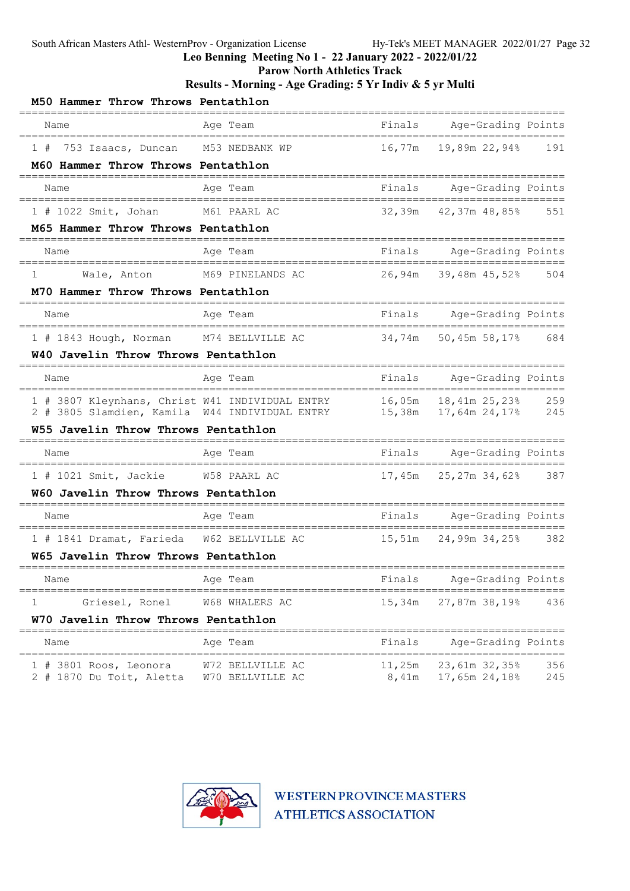Leo Benning Meeting No 1 - 22 January 2022 - 2022/01/22

Parow North Athletics Track

### Results - Morning - Age Grading: 5 Yr Indiv & 5 yr Multi

| M50 Hammer Throw Throws Pentathlon                   |                                                                          |                       |                                              |            |
|------------------------------------------------------|--------------------------------------------------------------------------|-----------------------|----------------------------------------------|------------|
| Name                                                 | Age Team<br>---------------                                              | Finals                | Age-Grading Points                           |            |
| 753 Isaacs, Duncan<br>1#                             | M53 NEDBANK WP                                                           | 16,77m                | 19,89m 22,94%                                | 191        |
| M60 Hammer Throw Throws Pentathlon                   |                                                                          |                       |                                              |            |
| Name                                                 | Age Team                                                                 | Finals                | Age-Grading Points                           |            |
| 1 # 1022 Smit, Johan M61 PAARL AC                    |                                                                          | 32,39m                | 42,37m 48,85%                                | 551        |
| M65 Hammer Throw Throws Pentathlon                   |                                                                          |                       |                                              |            |
| Name                                                 | Age Team                                                                 | Finals                | Age-Grading Points                           |            |
| 1<br>Wale, Anton                                     | M69 PINELANDS AC                                                         | 26,94m                | 39,48m 45,52% 504                            |            |
| M70 Hammer Throw Throws Pentathlon                   |                                                                          |                       |                                              |            |
| Name                                                 | Age Team                                                                 | Finals                | Age-Grading Points<br>====================== |            |
| 1 # 1843 Hough, Norman M74 BELLVILLE AC              |                                                                          | 34,74m                | 50,45m 58,17% 684                            |            |
| W40 Javelin Throw Throws Pentathlon                  |                                                                          |                       |                                              |            |
| Name                                                 | Age Team                                                                 | Finals                | Age-Grading Points<br>====================== |            |
| 2 # 3805 Slamdien, Kamila W44 INDIVIDUAL ENTRY       | 1 # 3807 Kleynhans, Christ W41 INDIVIDUAL ENTRY 16,05m 18,41m 25,23% 259 |                       | 15,38m  17,64m  24,17%  245                  |            |
| W55 Javelin Throw Throws Pentathlon                  |                                                                          |                       |                                              |            |
| Name                                                 | Age Team                                                                 |                       | Finals Age-Grading Points<br>============    |            |
| 1 # 1021 Smit, Jackie W58 PAARL AC                   |                                                                          | 17,45m                | 25,27m 34,62% 387                            |            |
| W60 Javelin Throw Throws Pentathlon                  |                                                                          |                       |                                              |            |
| Name                                                 | Age Team                                                                 |                       | Finals Age-Grading Points                    |            |
| 1 # 1841 Dramat, Farieda                             | W62 BELLVILLE AC                                                         | 15,51m                | 24,99m 34,25%                                | 382        |
| W65 Javelin Throw Throws Pentathlon                  |                                                                          |                       |                                              |            |
| Name                                                 | Age Team                                                                 | Finals                | Age-Grading Points                           |            |
| 1<br>Griesel, Ronel                                  | W68 WHALERS AC                                                           | 15,34m                | 27,87m 38,19%                                | 436        |
| W70 Javelin Throw Throws Pentathlon                  |                                                                          |                       |                                              |            |
| Name<br>====================================         | Age Team<br>______________________                                       | Finals<br>----------- | Age-Grading Points                           |            |
| $1$ # 3801 Roos, Leonora<br>2 # 1870 Du Toit, Aletta | W72 BELLVILLE AC<br>W70 BELLVILLE AC                                     | 11,25m<br>8,41m       | 23,61m 32,35%<br>17,65m 24,18%               | 356<br>245 |

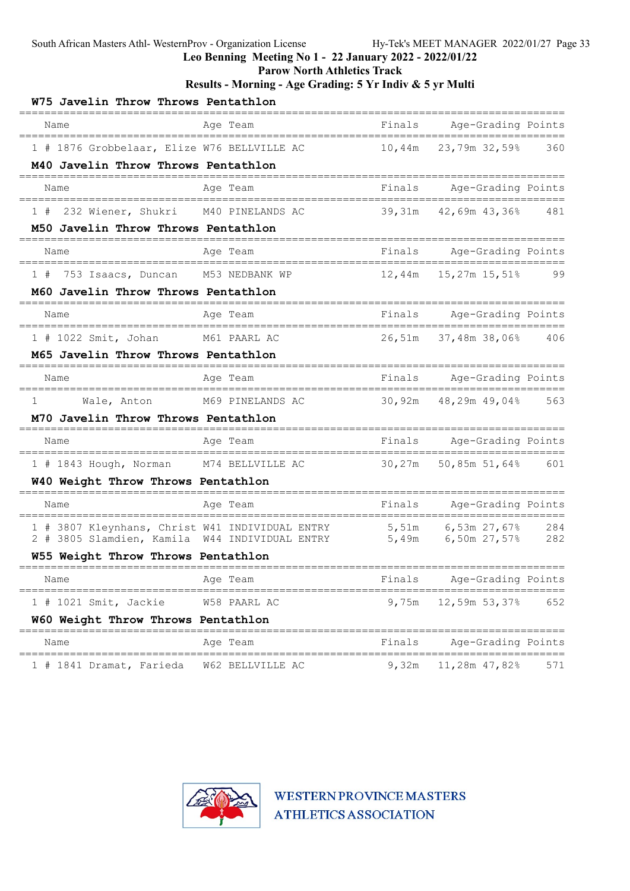Leo Benning Meeting No 1 - 22 January 2022 - 2022/01/22

Parow North Athletics Track

Results - Morning - Age Grading: 5 Yr Indiv & 5 yr Multi

| W75 Javelin Throw Throws Pentathlon                                                  |                                      |        |                                             |       |
|--------------------------------------------------------------------------------------|--------------------------------------|--------|---------------------------------------------|-------|
| Name                                                                                 | Age Team                             | Finals | Age-Grading Points                          |       |
| 1 # 1876 Grobbelaar, Elize W76 BELLVILLE AC                                          |                                      | 10,44m | 23,79m 32,59%                               | 360   |
| M40 Javelin Throw Throws Pentathlon                                                  |                                      |        |                                             |       |
| Name                                                                                 | Age Team                             | Finals | Age-Grading Points                          |       |
| 232 Wiener, Shukri M40 PINELANDS AC<br>1#                                            |                                      | 39,31m | 42,69m 43,36% 481                           |       |
| M50 Javelin Throw Throws Pentathlon                                                  |                                      |        |                                             |       |
| Name                                                                                 | Age Team                             | Finals | Age-Grading Points                          |       |
| 753 Isaacs, Duncan M53 NEDBANK WP<br>1#                                              |                                      | 12,44m | 15,27m 15,51%                               | 99    |
| M60 Javelin Throw Throws Pentathlon                                                  |                                      |        |                                             |       |
| Name                                                                                 | Age Team                             | Finals | Age-Grading Points<br>===================== |       |
| 1 # 1022 Smit, Johan M61 PAARL AC                                                    |                                      | 26,51m | 37,48m 38,06% 406                           |       |
| M65 Javelin Throw Throws Pentathlon                                                  |                                      |        |                                             |       |
| Name                                                                                 | Age Team                             | Finals | Age-Grading Points<br>===========           |       |
| 1<br>Wale, Anton M69 PINELANDS AC                                                    |                                      | 30,92m | 48,29m 49,04% 563                           |       |
| M70 Javelin Throw Throws Pentathlon                                                  |                                      |        |                                             |       |
| Name                                                                                 | Age Team                             | Finals | Age-Grading Points                          | ===== |
| 1 # 1843 Hough, Norman M74 BELLVILLE AC                                              |                                      | 30,27m | 50,85m 51,64% 601                           |       |
| W40 Weight Throw Throws Pentathlon                                                   |                                      |        |                                             |       |
| Name                                                                                 | Age Team                             | Finals | Age-Grading Points                          |       |
| 1 # 3807 Kleynhans, Christ W41 INDIVIDUAL ENTRY                                      |                                      | 5,51m  | 6,53m 27,67%                                | 284   |
| 2 # 3805 Slamdien, Kamila W44 INDIVIDUAL ENTRY<br>W55 Weight Throw Throws Pentathlon |                                      | 5,49m  | 6,50m 27,57%                                | 282   |
|                                                                                      |                                      |        |                                             |       |
| Name                                                                                 | Age Team                             | Finals | Age-Grading Points                          |       |
| $1$ # 1021 Smit, Jackie                                                              | W58 PAARL AC                         | 9,75m  | 12,59m 53,37%                               | 652   |
| W60 Weight Throw Throws Pentathlon<br>--------------------------                     |                                      |        |                                             |       |
| Name<br>=====================================                                        | Age Team<br>======================== | Finals | Age-Grading Points<br>=================     |       |
| 1 # 1841 Dramat, Farieda                                                             | W62 BELLVILLE AC                     | 9,32m  | 11,28m 47,82%                               | 571   |

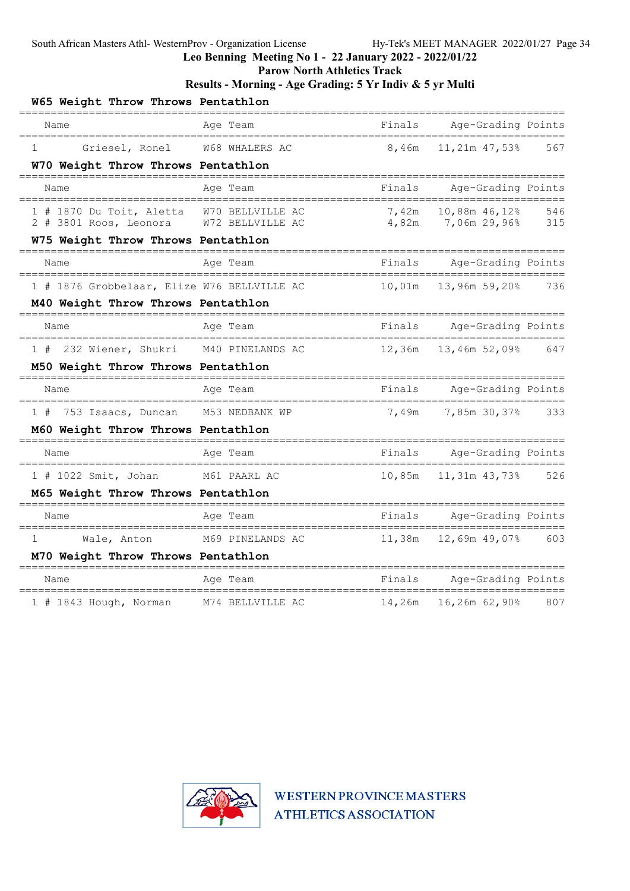Leo Benning Meeting No 1 - 22 January 2022 - 2022/01/22

Parow North Athletics Track

### Results - Morning - Age Grading: 5 Yr Indiv & 5 yr Multi

| W65 Weight Throw Throws Pentathlon<br>=========================     |                         |        |                                              |     |
|---------------------------------------------------------------------|-------------------------|--------|----------------------------------------------|-----|
| Name                                                                | Age Team                | Finals | Age-Grading Points                           |     |
| Griesel, Ronel<br>1                                                 | W68 WHALERS AC          | 8,46m  | 11,21m 47,53%                                | 567 |
| W70 Weight Throw Throws Pentathlon                                  |                         |        |                                              |     |
| Name                                                                | Age Team                | Finals | Age-Grading Points                           |     |
| 1 # 1870 Du Toit, Aletta<br>2 # 3801 Roos, Leonora W72 BELLVILLE AC | W70 BELLVILLE AC        | 7,42m  | 10,88m 46,12%<br>4,82m 7,06m 29,96% 315      | 546 |
| W75 Weight Throw Throws Pentathlon                                  |                         |        |                                              |     |
| Name                                                                | Age Team                | Finals | Age-Grading Points                           |     |
| 1 # 1876 Grobbelaar, Elize W76 BELLVILLE AC                         |                         | 10,01m | 13,96m 59,20%                                | 736 |
| M40 Weight Throw Throws Pentathlon                                  |                         |        |                                              |     |
| Name                                                                | Age Team                | Finals | Age-Grading Points                           |     |
| 232 Wiener, Shukri                                                  | M40 PINELANDS AC        | 12,36m | 13,46m 52,09%                                | 647 |
| M50 Weight Throw Throws Pentathlon                                  |                         |        |                                              |     |
| Name<br>===============================                             | Age Team<br>___________ | Finals | Age-Grading Points                           |     |
| 1#<br>753 Isaacs, Duncan                                            | M53 NEDBANK WP          | 7,49m  | 7,85m 30,37%                                 | 333 |
| M60 Weight Throw Throws Pentathlon                                  |                         |        |                                              |     |
| Name                                                                | Age Team                | Finals | Age-Grading Points<br>====================== |     |
| $1$ # 1022 Smit, Johan                                              | M61 PAARL AC            | 10,85m | 11,31m 43,73%                                | 526 |
| M65 Weight Throw Throws Pentathlon                                  |                         |        |                                              |     |
| Name<br>====================================                        | Age Team                | Finals | Age-Grading Points                           |     |
| 1<br>Wale, Anton                                                    | M69 PINELANDS AC        | 11,38m | 12,69m 49,07%                                | 603 |
| M70 Weight Throw Throws Pentathlon                                  |                         |        |                                              |     |
| Name                                                                | Age Team                | Finals | Age-Grading Points                           |     |
| 1 # 1843 Hough, Norman                                              | M74 BELLVILLE AC        |        | 14,26m  16,26m  62,90%                       | 807 |

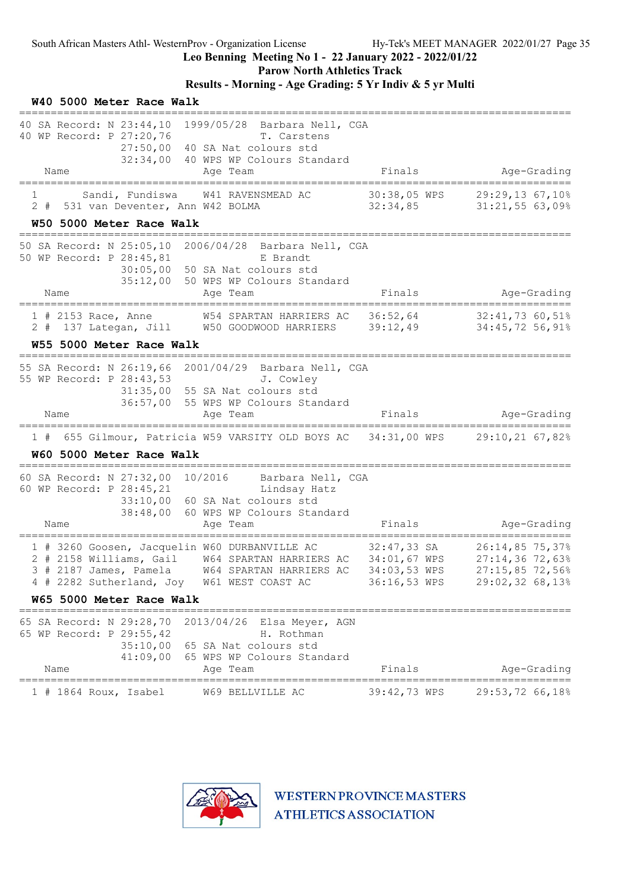W40 5000 Meter Race Walk

Leo Benning Meeting No 1 - 22 January 2022 - 2022/01/22

Parow North Athletics Track

### Results - Morning - Age Grading: 5 Yr Indiv & 5 yr Multi

| 40 SA Record: N 23:44,10 1999/05/28 Barbara Nell, CGA<br>40 WP Record: P 27:20,76<br>T. Carstens<br>27:50,00<br>40 SA Nat colours std<br>32:34,00 40 WPS WP Colours Standard                                                                                                                                                      |                                                                                                                                                                        |
|-----------------------------------------------------------------------------------------------------------------------------------------------------------------------------------------------------------------------------------------------------------------------------------------------------------------------------------|------------------------------------------------------------------------------------------------------------------------------------------------------------------------|
| Name<br>Age Team                                                                                                                                                                                                                                                                                                                  | Finals<br>Age-Grading                                                                                                                                                  |
| Sandi, Fundiswa<br>W41 RAVENSMEAD AC<br>ı.<br>2 # 531 van Deventer, Ann W42 BOLMA                                                                                                                                                                                                                                                 | 30:38,05 WPS<br>29:29,13 67,10%<br>31:21,5563,09%<br>32:34,85                                                                                                          |
| W50 5000 Meter Race Walk<br>==================================                                                                                                                                                                                                                                                                    |                                                                                                                                                                        |
| 50 SA Record: N 25:05,10 2006/04/28 Barbara Nell, CGA<br>50 WP Record: P 28:45,81<br>E Brandt<br>50 SA Nat colours std<br>30:05,00<br>35:12,00<br>50 WPS WP Colours Standard<br>Name<br>Age Team                                                                                                                                  | Age-Grading<br>Finals                                                                                                                                                  |
| W54 SPARTAN HARRIERS AC<br>$1$ # 2153 Race, Anne<br>2 # 137 Lategan, Jill W50 GOODWOOD HARRIERS 39:12,49                                                                                                                                                                                                                          | 36:52,64 32:41,73 60,51%<br>34:45,72 56,91%                                                                                                                            |
| W55 5000 Meter Race Walk<br>=================================                                                                                                                                                                                                                                                                     |                                                                                                                                                                        |
| 55 SA Record: N 26:19,66 2001/04/29 Barbara Nell, CGA<br>55 WP Record: P 28:43,53<br>J. Cowley<br>31:35,00 55 SA Nat colours std<br>36:57,00 55 WPS WP Colours Standard<br>Name<br>Age Team                                                                                                                                       | Finals<br>Age-Grading                                                                                                                                                  |
| 1 # 655 Gilmour, Patricia W59 VARSITY OLD BOYS AC 34:31,00 WPS 29:10,21 67,82%                                                                                                                                                                                                                                                    |                                                                                                                                                                        |
| W60 5000 Meter Race Walk                                                                                                                                                                                                                                                                                                          |                                                                                                                                                                        |
| 60 SA Record: N 27:32,00 10/2016 Barbara Nell, CGA<br>60 WP Record: P 28:45,21<br>Lindsay Hatz<br>33:10,00 60 SA Nat colours std<br>38:48,00<br>60 WPS WP Colours Standard<br>Age Team<br>Name                                                                                                                                    | Finals<br>Age-Grading                                                                                                                                                  |
| =======================<br>1 # 3260 Goosen, Jacquelin W60 DURBANVILLE AC<br>1 # 3260 Goosen, Jacquelin W60 DURBANVILLE AC 32:47,33 SA<br>2 # 2158 Williams, Gail W64 SPARTAN HARRIERS AC 34:01,67 WPS<br>3 # 2187 James, Pamela W64 SPARTAN HARRIERS AC<br>4 # 2282 Sutherland, Joy W61 WEST COAST AC<br>W65 5000 Meter Race Walk | ________________________<br>$32:47,33$ SA<br>32:47,33 SA<br>26:14,85 75,37%<br>$27:14,36$ 72,63%<br>34:03,53 WPS<br>27:15,85 72,56%<br>29:02,32 68,13%<br>36:16,53 WPS |
|                                                                                                                                                                                                                                                                                                                                   |                                                                                                                                                                        |
| 65 SA Record: N 29:28,70 2013/04/26 Elsa Meyer, AGN<br>65 WP Record: P 29:55,42<br>H. Rothman<br>35:10,00 65 SA Nat colours std<br>41:09,00 65 WPS WP Colours Standard                                                                                                                                                            |                                                                                                                                                                        |
| Name<br>Age Team                                                                                                                                                                                                                                                                                                                  | Finals<br>Age-Grading                                                                                                                                                  |
| $1$ # 1864 Roux, Isabel<br>W69 BELLVILLE AC                                                                                                                                                                                                                                                                                       | 39:42,73 WPS<br>29:53,72 66,18%                                                                                                                                        |

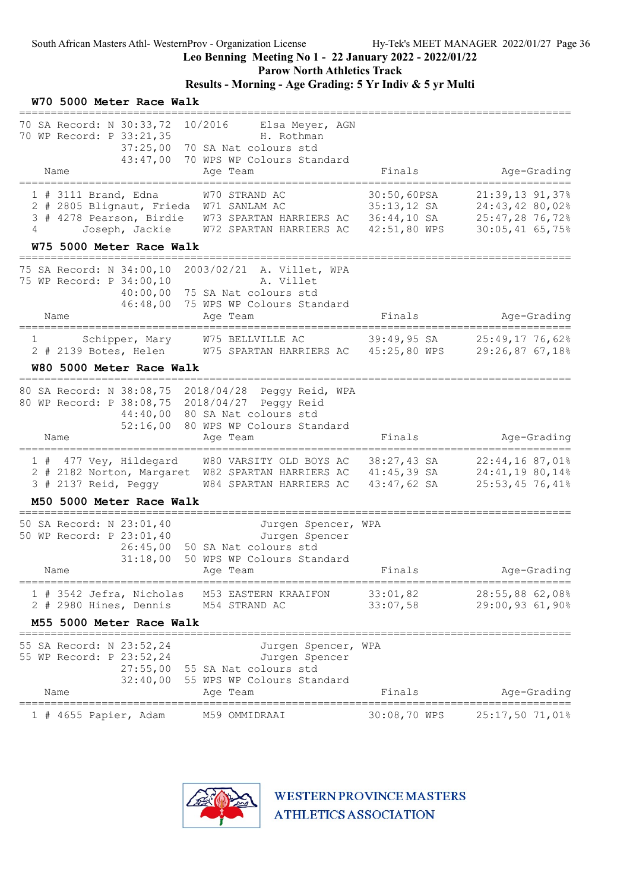### Leo Benning Meeting No 1 - 22 January 2022 - 2022/01/22

Parow North Athletics Track

# Results - Morning - Age Grading: 5 Yr Indiv & 5 yr Multi

| W70 5000 Meter Race Walk                                                                                                        |                                                                                                                            |                                               |                                                                          |
|---------------------------------------------------------------------------------------------------------------------------------|----------------------------------------------------------------------------------------------------------------------------|-----------------------------------------------|--------------------------------------------------------------------------|
| 70 SA Record: N 30:33,72<br>70 WP Record: P 33:21,35<br>37:25,00<br>43:47,00<br>Name                                            | 10/2016 Elsa Meyer, AGN<br>H. Rothman<br>70 SA Nat colours std<br>70 WPS WP Colours Standard<br>Age Team                   | Finals                                        | Age-Grading<br>-=================================                        |
| $1$ # 3111 Brand, Edna<br>2 # 2805 Blignaut, Frieda W71 SANLAM AC<br>Joseph, Jackie<br>4<br>W75 5000 Meter Race Walk            | W70 STRAND AC<br>3 # 4278 Pearson, Birdie W73 SPARTAN HARRIERS AC 36:44,10 SA<br>W72 SPARTAN HARRIERS AC 42:51,80 WPS      | 30:50,60PSA<br>$35:13,12$ SA                  | 21:39,13 91,37%<br>24:43,42 80,02%<br>25:47,28 76,72%<br>30:05,41 65,75% |
| 75 SA Record: N 34:00,10<br>75 WP Record: P 34:00,10<br>40:00,00<br>46:48,00<br>Name                                            | 2003/02/21 A. Villet, WPA<br>A. Villet<br>75 SA Nat colours std<br>75 WPS WP Colours Standard<br>Age Team                  | Finals                                        | Age-Grading                                                              |
| $1 \qquad \qquad$<br>W80 5000 Meter Race Walk                                                                                   | Schipper, Mary W75 BELLVILLE AC<br>2 # 2139 Botes, Helen W75 SPARTAN HARRIERS AC 45:25,80 WPS                              | $39:49,95$ SA                                 | 25:49,17 76,62%<br>29:26,87 67,18%                                       |
| 80 SA Record: N 38:08,75 2018/04/28 Peggy Reid, WPA<br>80 WP Record: P 38:08,75<br>44:40,00<br>52:16,00<br>Name                 | 2018/04/27 Peggy Reid<br>80 SA Nat colours std<br>80 WPS WP Colours Standard<br>Age Team                                   | Finals                                        | Age-Grading                                                              |
| 1 # 477 Vey, Hildegard<br>2 # 2182 Norton, Margaret W82 SPARTAN HARRIERS AC<br>3 # 2137 Reid, Peggy<br>M50 5000 Meter Race Walk | W80 VARSITY OLD BOYS AC<br>W84 SPARTAN HARRIERS AC                                                                         | 38:27,43 SA<br>$41:45,39$ SA<br>$43:47,62$ SA | 22:44,1687,01%<br>24:41,19 80,14%<br>25:53,45 76,41%                     |
| 50 SA Record: N 23:01,40<br>50 WP Record: P 23:01,40<br>26:45,00<br>31:18,00<br>Name                                            | Jurgen Spencer, WPA<br>Jurgen Spencer<br>50 SA Nat colours std<br>50 WPS WP Colours Standard<br>Age Team                   | Finals                                        | Age-Grading                                                              |
| 1 # 3542 Jefra, Nicholas<br>2 # 2980 Hines, Dennis<br>M55 5000 Meter Race Walk                                                  | M53 EASTERN KRAAIFON<br>M54 STRAND AC                                                                                      | 33:01,82                                      | 28:55,88 62,08%<br>33:07,58 29:00,93 61,90%                              |
| 55 SA Record: N 23:52,24<br>55 WP Record: P 23:52,24<br>Name                                                                    | Jurgen Spencer, WPA<br>Jurgen Spencer<br>27:55,00 55 SA Nat colours std<br>32:40,00 55 WPS WP Colours Standard<br>Age Team | Finals                                        | Age-Grading                                                              |
| ======================================<br>1 # 4655 Papier, Adam                                                                 | M59 OMMIDRAAI                                                                                                              | 30:08,70 WPS                                  | 25:17,50 71,01%                                                          |